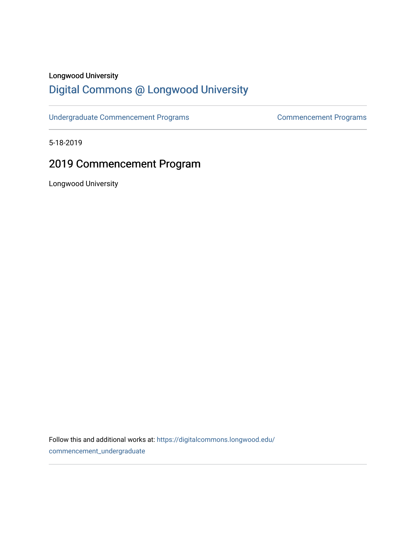## Longwood University

# [Digital Commons @ Longwood University](https://digitalcommons.longwood.edu/)

[Undergraduate Commencement Programs](https://digitalcommons.longwood.edu/commencement_undergraduate) [Commencement Programs](https://digitalcommons.longwood.edu/commencement_programs) 

5-18-2019

# 2019 Commencement Program

Longwood University

Follow this and additional works at: [https://digitalcommons.longwood.edu/](https://digitalcommons.longwood.edu/commencement_undergraduate?utm_source=digitalcommons.longwood.edu%2Fcommencement_undergraduate%2F140&utm_medium=PDF&utm_campaign=PDFCoverPages) [commencement\\_undergraduate](https://digitalcommons.longwood.edu/commencement_undergraduate?utm_source=digitalcommons.longwood.edu%2Fcommencement_undergraduate%2F140&utm_medium=PDF&utm_campaign=PDFCoverPages)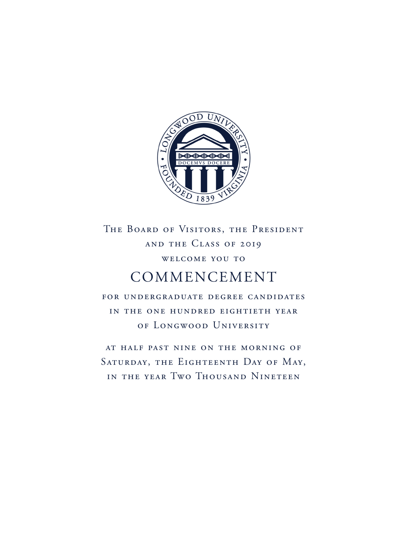

# THE BOARD OF VISITORS, THE PRESIDENT and the Class of 2019 welcome you to COMMENCEMENT

for undergraduate degree candidates in the one hundred eightieth year of Longwood University

at half past nine on the morning of SATURDAY, THE EIGHTEENTH DAY OF MAY, in the year Two Thousand Nineteen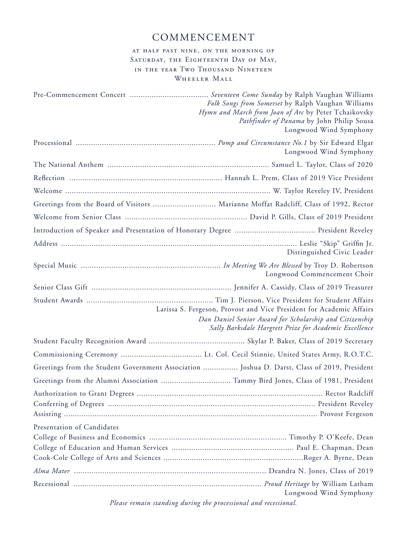## COMMENCEMENT

## at half past nine, on the morning of SATURDAY, THE EIGHTEENTH DAY OF MAY, in the year Two Thousand Nineteen WHEELER MALL

|                                                                                              | Folk Songs from Somerset by Ralph Vaughan Williams<br>Hymn and March from Joan of Arc by Peter Tchaikovsky<br>Pathfinder of Panama by John Philip Sousa<br>Longwood Wind Symphony         |
|----------------------------------------------------------------------------------------------|-------------------------------------------------------------------------------------------------------------------------------------------------------------------------------------------|
|                                                                                              | Longwood Wind Symphony                                                                                                                                                                    |
|                                                                                              |                                                                                                                                                                                           |
|                                                                                              |                                                                                                                                                                                           |
|                                                                                              |                                                                                                                                                                                           |
| Greetings from the Board of Visitors  Marianne Moffat Radcliff, Class of 1992, Rector        |                                                                                                                                                                                           |
|                                                                                              |                                                                                                                                                                                           |
|                                                                                              |                                                                                                                                                                                           |
|                                                                                              | Distinguished Civic Leader                                                                                                                                                                |
|                                                                                              | Longwood Commencement Choir                                                                                                                                                               |
|                                                                                              |                                                                                                                                                                                           |
|                                                                                              | Larissa S. Fergeson, Provost and Vice President for Academic Affairs<br>Dan Daniel Senior Award for Scholarship and Citizenship<br>Sally Barksdale Hargrett Prize for Academic Excellence |
|                                                                                              |                                                                                                                                                                                           |
|                                                                                              |                                                                                                                                                                                           |
| Greetings from the Student Government Association  Joshua D. Darst, Class of 2019, President |                                                                                                                                                                                           |
|                                                                                              |                                                                                                                                                                                           |
|                                                                                              |                                                                                                                                                                                           |
| Presentation of Candidates                                                                   |                                                                                                                                                                                           |
|                                                                                              |                                                                                                                                                                                           |
| Please remain standing during the processional and recessional.                              | Longwood Wind Symphony                                                                                                                                                                    |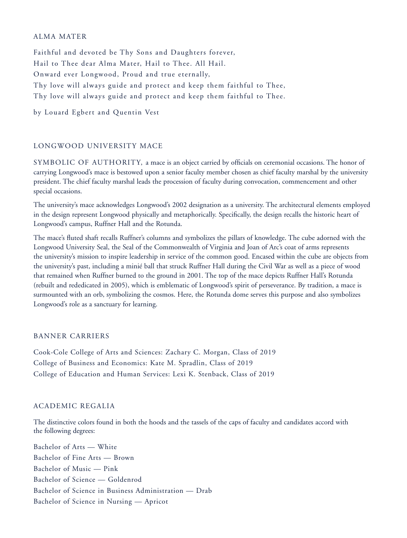### ALMA MATER

Faithful and devoted be Thy Sons and Daughters forever, Hail to Thee dear Alma Mater, Hail to Thee. All Hail. Onward ever Longwood, Proud and true eternally, Thy love will always guide and protect and keep them faithful to Thee, Thy love will always guide and protect and keep them faithful to Thee.

by Louard Egbert and Quentin Vest

## LONGWOOD UNIVERSITY MACE

SYMBOLIC OF AUTHORITY, a mace is an object carried by officials on ceremonial occasions. The honor of carrying Longwood's mace is bestowed upon a senior faculty member chosen as chief faculty marshal by the university president. The chief faculty marshal leads the procession of faculty during convocation, commencement and other special occasions.

The university's mace acknowledges Longwood's 2002 designation as a university. The architectural elements employed in the design represent Longwood physically and metaphorically. Specifically, the design recalls the historic heart of Longwood's campus, Ruffner Hall and the Rotunda.

The mace's fluted shaft recalls Ruffner's columns and symbolizes the pillars of knowledge. The cube adorned with the Longwood University Seal, the Seal of the Commonwealth of Virginia and Joan of Arc's coat of arms represents the university's mission to inspire leadership in service of the common good. Encased within the cube are objects from the university's past, including a minié ball that struck Ruffner Hall during the Civil War as well as a piece of wood that remained when Ruffner burned to the ground in 2001. The top of the mace depicts Ruffner Hall's Rotunda (rebuilt and rededicated in 2005), which is emblematic of Longwood's spirit of perseverance. By tradition, a mace is surmounted with an orb, symbolizing the cosmos. Here, the Rotunda dome serves this purpose and also symbolizes Longwood's role as a sanctuary for learning.

#### BANNER CARRIERS

Cook-Cole College of Arts and Sciences: Zachary C. Morgan, Class of 2019 College of Business and Economics: Kate M. Spradlin, Class of 2019 College of Education and Human Services: Lexi K. Stenback, Class of 2019

#### ACADEMIC REGALIA

The distinctive colors found in both the hoods and the tassels of the caps of faculty and candidates accord with the following degrees:

Bachelor of Arts — White Bachelor of Fine Arts — Brown Bachelor of Music — Pink Bachelor of Science — Goldenrod Bachelor of Science in Business Administration — Drab Bachelor of Science in Nursing — Apricot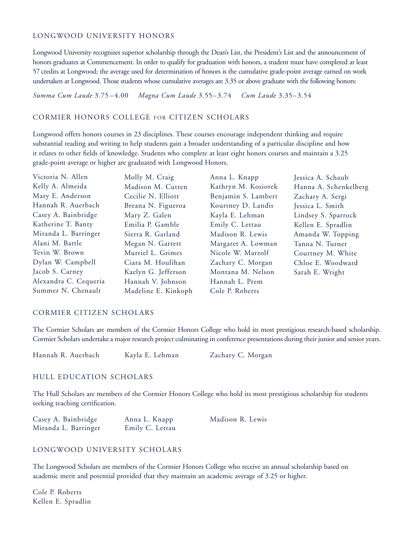### LONGWOOD UNIVERSITY HONORS

Longwood University recognizes superior scholarship through the Dean's List, the President's List and the announcement of honors graduates at Commencement. In order to qualify for graduation with honors, a student must have completed at least 57 credits at Longwood; the average used for determination of honors is the cumulative grade-point average earned on work undertaken at Longwood. Those students whose cumulative averages are 3.35 or above graduate with the following honors:

*Summa Cum Laude* 3.75 – 4.00 *Magna Cum Laude* 3.55– 3.74 *Cum Laude* 3.35– 3.54

## CORMIER HONORS COLLEGE FOR CITIZEN SCHOLARS

Longwood offers honors courses in 23 disciplines. These courses encourage independent thinking and require substantial reading and writing to help students gain a broader understanding of a particular discipline and how it relates to other fields of knowledge. Students who complete at least eight honors courses and maintain a 3.25 grade-point average or higher are graduated with Longwood Honors.

| Victoria N. Allen     | Molly M. Craig      | Anna L. Knapp       | Jessica A. Schaub     |
|-----------------------|---------------------|---------------------|-----------------------|
| Kelly A. Almeida      | Madison M. Cutten   | Kathryn M. Kosiorek | Hanna A. Schenkelberg |
| Mary E. Anderson      | Cecilie N. Elliott  | Benjamin S. Lambert | Zachary A. Sergi      |
| Hannah R. Auerbach    | Breana N. Figueroa  | Kourtney D. Landis  | Jessica L. Smith      |
| Casey A. Bainbridge   | Mary Z. Galen       | Kayla E. Lehman     | Lindsey S. Sparrock   |
| Katherine T. Banty    | Emilia P. Gamble    | Emily C. Lettau     | Kellen E. Spradlin    |
| Miranda L. Barringer  | Sierra R. Garland   | Madison R. Lewis    | Amanda W. Topping     |
| Alani M. Battle       | Megan N. Garrett    | Margaret A. Lowman  | Tanna N. Turner       |
| Tevin W. Brown        | Murriel L. Grimes   | Nicole W. Marzolf   | Courtney M. White     |
| Dylan W. Campbell     | Ciara M. Houlihan   | Zachary C. Morgan   | Chloe E. Woodward     |
| Jacob S. Carney       | Kaelyn G. Jefferson | Montana M. Nelson   | Sarah E. Wright       |
| Alexandra C. Cequeria | Hannah V. Johnson   | Hannah L. Prem      |                       |
| Summer N. Chenault    | Madeline E. Kinkoph | Cole P. Roberts     |                       |

## CORMIER CITIZEN SCHOLARS

The Cormier Scholars are members of the Cormier Honors College who hold its most prestigious research-based scholarship. Cormier Scholars undertake a major research project culminating in conference presentations during their junior and senior years.

Hannah R. Auerbach Kayla E. Lehman Zachary C. Morgan

## HULL EDUCATION SCHOLARS

The Hull Scholars are members of the Cormier Honors College who hold its most prestigious scholarship for students seeking teaching certification.

| Casey A. Bainbridge  | Anna L. Knapp   | Madison R. Lewis |
|----------------------|-----------------|------------------|
| Miranda L. Barringer | Emily C. Lettau |                  |

## LONGWOOD UNIVERSITY SCHOLARS

The Longwood Scholars are members of the Cormier Honors College who receive an annual scholarship based on academic merit and potential provided that they maintain an academic average of 3.25 or higher.

Cole P. Roberts Kellen E. Spradlin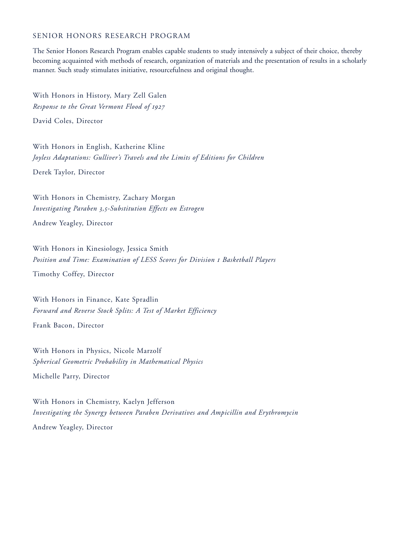#### SENIOR HONORS RESEARCH PROGRAM

The Senior Honors Research Program enables capable students to study intensively a subject of their choice, thereby becoming acquainted with methods of research, organization of materials and the presentation of results in a scholarly manner. Such study stimulates initiative, resourcefulness and original thought.

With Honors in History, Mary Zell Galen *Response to the Great Vermont Flood of 1927*

David Coles, Director

With Honors in English, Katherine Kline *Joyless Adaptations: Gulliver's Travels and the Limits of Editions for Children*

Derek Taylor, Director

With Honors in Chemistry, Zachary Morgan *Investigating Paraben 3,5-Substitution Effects on Estrogen* Andrew Yeagley, Director

With Honors in Kinesiology, Jessica Smith *Position and Time: Examination of LESS Scores for Division 1 Basketball Players*

Timothy Coffey, Director

With Honors in Finance, Kate Spradlin *Forward and Reverse Stock Splits: A Test of Market Efficiency*

Frank Bacon, Director

With Honors in Physics, Nicole Marzolf *Spherical Geometric Probability in Mathematical Physics* Michelle Parry, Director

With Honors in Chemistry, Kaelyn Jefferson *Investigating the Synergy between Paraben Derivatives and Ampicillin and Erythromycin* Andrew Yeagley, Director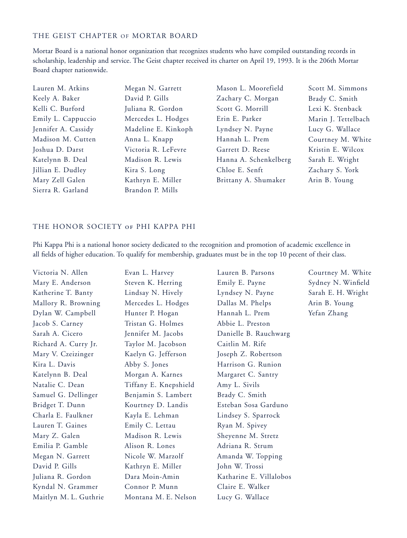## THE GEIST CHAPTER OF MORTAR BOARD

Mortar Board is a national honor organization that recognizes students who have compiled outstanding records in scholarship, leadership and service. The Geist chapter received its charter on April 19, 1993. It is the 206th Mortar Board chapter nationwide.

| Lauren M. Atkins    | Megan N. Garrett    | Mason L. Moorefield   | Scott M. Simmons    |
|---------------------|---------------------|-----------------------|---------------------|
| Keely A. Baker      | David P. Gills      | Zachary C. Morgan     | Brady C. Smith      |
| Kelli C. Burford    | Juliana R. Gordon   | Scott G. Morrill      | Lexi K. Stenback    |
| Emily L. Cappuccio  | Mercedes L. Hodges  | Erin E. Parker        | Marin J. Tettelbach |
| Jennifer A. Cassidy | Madeline E. Kinkoph | Lyndsey N. Payne      | Lucy G. Wallace     |
| Madison M. Cutten   | Anna L. Knapp       | Hannah L. Prem        | Courtney M. White   |
| Joshua D. Darst     | Victoria R. LeFevre | Garrett D. Reese      | Kristin E. Wilcox   |
| Katelynn B. Deal    | Madison R. Lewis    | Hanna A. Schenkelberg | Sarah E. Wright     |
| Jillian E. Dudley   | Kira S. Long        | Chloe E. Senft        | Zachary S. York     |
| Mary Zell Galen     | Kathryn E. Miller   | Brittany A. Shumaker  | Arin B. Young       |
| Sierra R. Garland   | Brandon P. Mills    |                       |                     |

## THE HONOR SOCIETY of PHI KAPPA PHI

Phi Kappa Phi is a national honor society dedicated to the recognition and promotion of academic excellence in all fields of higher education. To qualify for membership, graduates must be in the top 10 pecent of their class.

| Victoria N. Allen     | Evan L. Harvey        | Lauren B. Parsons       | Courtney M. White  |
|-----------------------|-----------------------|-------------------------|--------------------|
| Mary E. Anderson      | Steven K. Herring     | Emily E. Payne          | Sydney N. Winfield |
| Katherine T. Banty    | Lindsay N. Hively     | Lyndsey N. Payne        | Sarah E. H. Wright |
| Mallory R. Browning   | Mercedes L. Hodges    | Dallas M. Phelps        | Arin B. Young      |
| Dylan W. Campbell     | Hunter P. Hogan       | Hannah L. Prem          | Yefan Zhang        |
| Jacob S. Carney       | Tristan G. Holmes     | Abbie L. Preston        |                    |
| Sarah A. Cicero       | Jennifer M. Jacobs    | Danielle B. Rauchwarg   |                    |
| Richard A. Curry Jr.  | Taylor M. Jacobson    | Caitlin M. Rife         |                    |
| Mary V. Czeizinger    | Kaelyn G. Jefferson   | Joseph Z. Robertson     |                    |
| Kira L. Davis         | Abby S. Jones         | Harrison G. Runion      |                    |
| Katelynn B. Deal      | Morgan A. Karnes      | Margaret C. Santry      |                    |
| Natalie C. Dean       | Tiffany E. Knepshield | Amy L. Sivils           |                    |
| Samuel G. Dellinger   | Benjamin S. Lambert   | Brady C. Smith          |                    |
| Bridget T. Dunn       | Kourtney D. Landis    | Esteban Sosa Garduno    |                    |
| Charla E. Faulkner    | Kayla E. Lehman       | Lindsey S. Sparrock     |                    |
| Lauren T. Gaines      | Emily C. Lettau       | Ryan M. Spivey          |                    |
| Mary Z. Galen         | Madison R. Lewis      | Sheyenne M. Stretz      |                    |
| Emilia P. Gamble      | Alison R. Lones       | Adriana R. Strum        |                    |
| Megan N. Garrett      | Nicole W. Marzolf     | Amanda W. Topping       |                    |
| David P. Gills        | Kathryn E. Miller     | John W. Trossi          |                    |
| Juliana R. Gordon     | Dara Moin-Amin        | Katharine E. Villalobos |                    |
| Kyndal N. Grammer     | Connor P. Munn        | Claire E. Walker        |                    |
| Maitlyn M. L. Guthrie | Montana M. E. Nelson  | Lucy G. Wallace         |                    |
|                       |                       |                         |                    |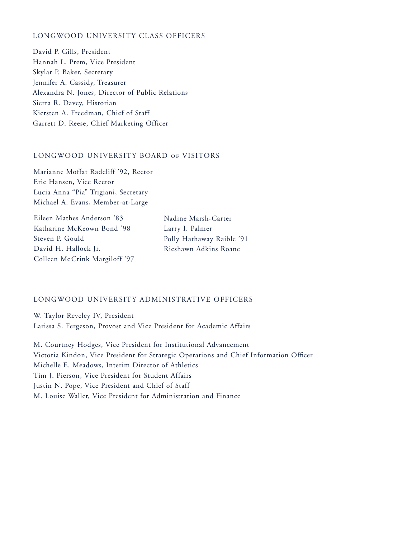## LONGWOOD UNIVERSITY CLASS OFFICERS

David P. Gills, President Hannah L. Prem, Vice President Skylar P. Baker, Secretary Jennifer A. Cassidy, Treasurer Alexandra N. Jones, Director of Public Relations Sierra R. Davey, Historian Kiersten A. Freedman, Chief of Staff Garrett D. Reese, Chief Marketing Officer

## LONGWOOD UNIVERSITY BOARD of VISITORS

Marianne Moffat Radcliff '92, Rector Eric Hansen, Vice Rector Lucia Anna "Pia" Trigiani, Secretary Michael A. Evans, Member-at-Large

Eileen Mathes Anderson '83 Katharine McKeown Bond '98 Steven P. Gould David H. Hallock Jr. Colleen McCrink Margiloff '97 Nadine Marsh-Carter Larry I. Palmer Polly Hathaway Raible '91 Ricshawn Adkins Roane

#### LONGWOOD UNIVERSITY ADMINISTRATIVE OFFICERS

W. Taylor Reveley IV, President Larissa S. Fergeson, Provost and Vice President for Academic Affairs

M. Courtney Hodges, Vice President for Institutional Advancement Victoria Kindon, Vice President for Strategic Operations and Chief Information Officer Michelle E. Meadows, Interim Director of Athletics Tim J. Pierson, Vice President for Student Affairs Justin N. Pope, Vice President and Chief of Staff M. Louise Waller, Vice President for Administration and Finance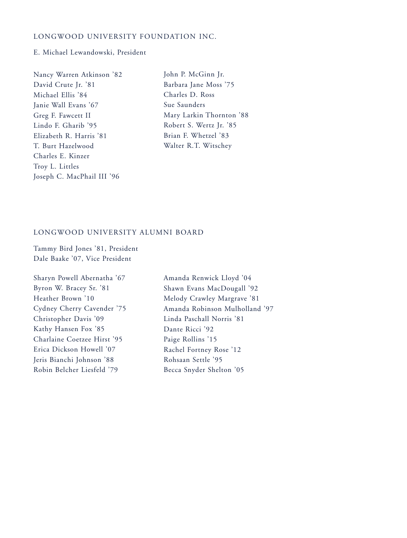## LONGWOOD UNIVERSITY FOUNDATION INC.

#### E. Michael Lewandowski, President

| Nancy Warren Atkinson '82  |
|----------------------------|
| David Crute Jr. '81        |
| Michael Ellis '84          |
| Janie Wall Evans '67       |
| Greg F. Fawcett II         |
| Lindo F. Gharib '95        |
| Elizabeth R. Harris '81    |
| T. Burt Hazelwood          |
| Charles E. Kinzer          |
| Troy L. Littles            |
| Joseph C. MacPhail III '96 |

John P. McGinn Jr. Barbara Jane Moss '75 Charles D. Ross Sue Saunders Mary Larkin Thornton '88 Robert S. Wertz Jr. '85 Brian F. Whetzel '83 Walter R.T. Witschey

## LONGWOOD UNIVERSITY ALUMNI BOARD

Tammy Bird Jones '81, President Dale Baake '07, Vice President

Sharyn Powell Abernatha '67 Byron W. Bracey Sr. '81 Heather Brown '10 Cydney Cherry Cavender '75 Christopher Davis '09 Kathy Hansen Fox '85 Charlaine Coetzee Hirst '95 Erica Dickson Howell '07 Jeris Bianchi Johnson '88 Robin Belcher Liesfeld '79

Amanda Renwick Lloyd '04 Shawn Evans MacDougall '92 Melody Crawley Margrave '81 Amanda Robinson Mulholland '97 Linda Paschall Norris '81 Dante Ricci '92 Paige Rollins '15 Rachel Fortney Rose '12 Rohsaan Settle '95 Becca Snyder Shelton '05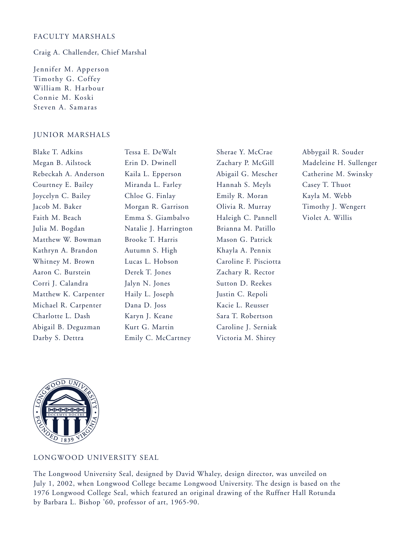## FACULTY MARSHALS

Craig A. Challender, Chief Marshal

Jennifer M. Apperson Timothy G. Coffey William R. Harbour Connie M. Koski Steven A. Samaras

#### JUNIOR MARSHALS

| Tessa E. DeWalt       | Sherae Y. McCrae      | Abbygail R. Souder     |
|-----------------------|-----------------------|------------------------|
| Erin D. Dwinell       | Zachary P. McGill     | Madeleine H. Sullenger |
| Kaila L. Epperson     | Abigail G. Mescher    | Catherine M. Swinsky   |
| Miranda L. Farley     | Hannah S. Meyls       | Casey T. Thuot         |
| Chloe G. Finlay       | Emily R. Moran        | Kayla M. Webb          |
| Morgan R. Garrison    | Olivia R. Murray      | Timothy J. Wengert     |
| Emma S. Giambalvo     | Haleigh C. Pannell    | Violet A. Willis       |
| Natalie J. Harrington | Brianna M. Patillo    |                        |
| Brooke T. Harris      | Mason G. Patrick      |                        |
| Autumn S. High        | Khayla A. Pennix      |                        |
| Lucas L. Hobson       | Caroline F. Pisciotta |                        |
| Derek T. Jones        | Zachary R. Rector     |                        |
| Jalyn N. Jones        | Sutton D. Reekes      |                        |
| Haily L. Joseph       | Justin C. Repoli      |                        |
| Dana D. Joss          | Kacie L. Reusser      |                        |
| Karyn J. Keane        | Sara T. Robertson     |                        |
| Kurt G. Martin        | Caroline J. Serniak   |                        |
| Emily C. McCartney    | Victoria M. Shirey    |                        |
|                       |                       |                        |



## LONGWOOD UNIVERSITY SEAL

The Longwood University Seal, designed by David Whaley, design director, was unveiled on July 1, 2002, when Longwood College became Longwood University. The design is based on the 1976 Longwood College Seal, which featured an original drawing of the Ruffner Hall Rotunda by Barbara L. Bishop '60, professor of art, 1965-90.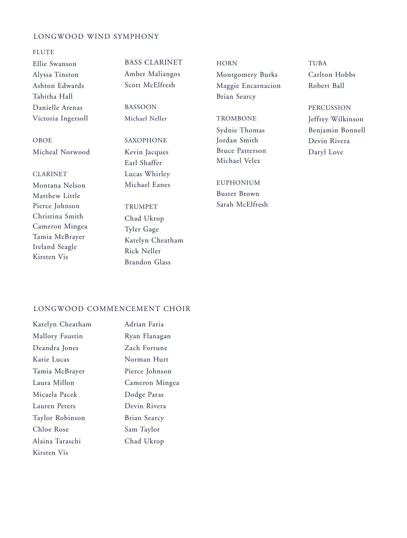## LONGWOOD WIND SYMPHONY

#### FLUTE

Ellie Swanson Alyssa Tinston Ashton Edwards Tabitha Hall Danielle Arenas Victoria Ingersoll

OBOE Micheal Norwood

## CLARINET

Montana Nelson Matthew Little Pierce Johnson Christina Smith Cameron Mingea Tamia McBrayer Ireland Seagle Kirsten Vis

BASS CLARINET Amber Maliangos Scott McElfresh

BASSOON Michael Neller

## SAXOPHONE Kevin Jacques Earl Shaffer Lucas Whirley Michael Eanes

TRUMPET Chad Ukrop Tyler Gage Katelyn Cheatham Rick Neller Brandon Glass

**HORN** Montgomery Burks Maggie Encarnacion Brian Searcy

## **TROMBONE** Sydnie Thomas Jordan Smith Bruce Patterson Michael Velez

EUPHONIUM Buster Brown Sarah McElfresh TUBA Carlton Hobbs Robert Ball

#### PERCUSSION

Jeffrey Wilkinson Benjamin Bonnell Devin Rivera Daryl Love

## LONGWOOD COMMENCEMENT CHOIR

| Katelyn Cheatham | Adrian Faria   |
|------------------|----------------|
| Mallory Faustin  | Ryan Flanagan  |
| Deandra Jones    | Zach Fortune   |
| Katie Lucas      | Norman Hurt    |
| Tamia McBrayer   | Pierce Johnson |
| Laura Millon     | Cameron Mingea |
| Micaela Pacek    | Dodge Paras    |
| Lauren Peters    | Devin Rivera   |
| Taylor Robinson  | Brian Searcy   |
| Chloe Rose       | Sam Taylor     |
| Alaina Taraschi  | Chad Ukrop     |
| Kirsten Vis      |                |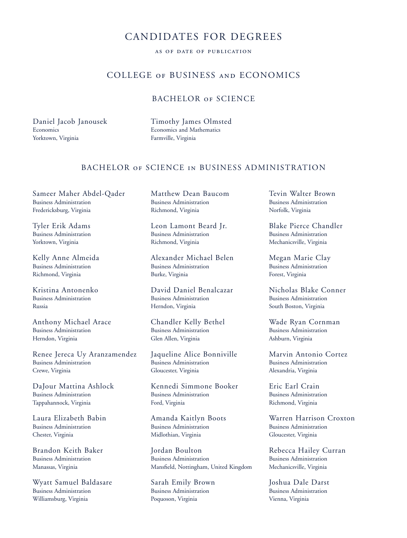## CANDIDATES FOR DEGREES

## as of date of publication

## COLLEGE of BUSINESS and ECONOMICS

## BACHELOR OF SCIENCE

Daniel Jacob Janousek **Economics** Yorktown, Virginia

Timothy James Olmsted Economics and Mathematics Farmville, Virginia

## BACHELOR of SCIENCE in BUSINESS ADMINISTRATION

Sameer Maher Abdel-Qader Business Administration Fredericksburg, Virginia

Tyler Erik Adams Business Administration Yorktown, Virginia

Kelly Anne Almeida Business Administration Richmond, Virginia

Kristina Antonenko Business Administration Russia

Anthony Michael Arace Business Administration Herndon, Virginia

Renee Jereca Uy Aranzamendez Business Administration Crewe, Virginia

DaJour Mattina Ashlock Business Administration Tappahannock, Virginia

Laura Elizabeth Babin Business Administration Chester, Virginia

Brandon Keith Baker Business Administration Manassas, Virginia

Wyatt Samuel Baldasare Business Administration Williamsburg, Virginia

Matthew Dean Baucom Business Administration Richmond, Virginia

Leon Lamont Beard Jr. Business Administration Richmond, Virginia

Alexander Michael Belen Business Administration Burke, Virginia

David Daniel Benalcazar Business Administration Herndon, Virginia

Chandler Kelly Bethel Business Administration Glen Allen, Virginia

Jaqueline Alice Bonniville Business Administration Gloucester, Virginia

Kennedi Simmone Booker Business Administration Ford, Virginia

Amanda Kaitlyn Boots Business Administration Midlothian, Virginia

Jordan Boulton Business Administration Mansfield, Nottingham, United Kingdom

Sarah Emily Brown Business Administration Poquoson, Virginia

Tevin Walter Brown Business Administration Norfolk, Virginia

Blake Pierce Chandler Business Administration Mechanicsville, Virginia

Megan Marie Clay Business Administration Forest, Virginia

Nicholas Blake Conner Business Administration South Boston, Virginia

Wade Ryan Cornman Business Administration Ashburn, Virginia

Marvin Antonio Cortez Business Administration Alexandria, Virginia

Eric Earl Crain Business Administration Richmond, Virginia

Warren Harrison Croxton Business Administration Gloucester, Virginia

Rebecca Hailey Curran Business Administration Mechanicsville, Virginia

Joshua Dale Darst Business Administration Vienna, Virginia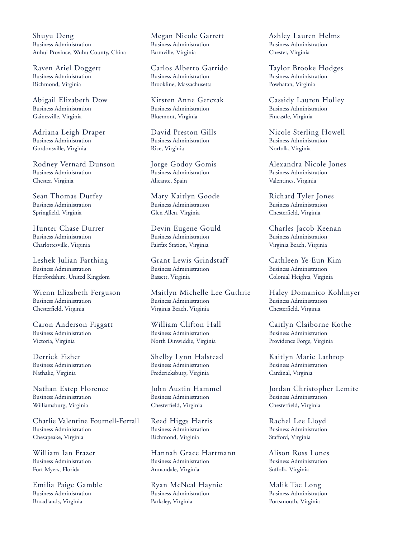Shuyu Deng Business Administration Anhui Province, Wuhu County, China

Raven Ariel Doggett Business Administration Richmond, Virginia

Abigail Elizabeth Dow Business Administration Gainesville, Virginia

Adriana Leigh Draper Business Administration Gordonsville, Virginia

Rodney Vernard Dunson Business Administration Chester, Virginia

Sean Thomas Durfey Business Administration Springfield, Virginia

Hunter Chase Durrer Business Administration Charlottesville, Virginia

Leshek Julian Farthing Business Administration Hertfordshire, United Kingdom

Wrenn Elizabeth Ferguson Business Administration Chesterfield, Virginia

Caron Anderson Figgatt Business Administration Victoria, Virginia

Derrick Fisher Business Administration Nathalie, Virginia

Nathan Estep Florence Business Administration Williamsburg, Virginia

Charlie Valentine Fournell-Ferrall Business Administration Chesapeake, Virginia

William Ian Frazer Business Administration Fort Myers, Florida

Emilia Paige Gamble Business Administration Broadlands, Virginia

Megan Nicole Garrett Business Administration Farmville, Virginia

Carlos Alberto Garrido Business Administration Brookline, Massachusetts

Kirsten Anne Gerczak Business Administration Bluemont, Virginia

David Preston Gills Business Administration Rice, Virginia

Jorge Godoy Gomis Business Administration Alicante, Spain

Mary Kaitlyn Goode Business Administration Glen Allen, Virginia

Devin Eugene Gould Business Administration Fairfax Station, Virginia

Grant Lewis Grindstaff Business Administration Bassett, Virginia

Maitlyn Michelle Lee Guthrie Business Administration Virginia Beach, Virginia

William Clifton Hall Business Administration North Dinwiddie, Virginia

Shelby Lynn Halstead Business Administration Fredericksburg, Virginia

John Austin Hammel Business Administration Chesterfield, Virginia

Reed Higgs Harris Business Administration Richmond, Virginia

Hannah Grace Hartmann Business Administration Annandale, Virginia

Ryan McNeal Haynie Business Administration Parksley, Virginia

Ashley Lauren Helms Business Administration Chester, Virginia

Taylor Brooke Hodges Business Administration Powhatan, Virginia

Cassidy Lauren Holley Business Administration Fincastle, Virginia

Nicole Sterling Howell Business Administration Norfolk, Virginia

Alexandra Nicole Jones Business Administration Valentines, Virginia

Richard Tyler Jones Business Administration Chesterfield, Virginia

Charles Jacob Keenan Business Administration Virginia Beach, Virginia

Cathleen Ye-Eun Kim Business Administration Colonial Heights, Virginia

Haley Domanico Kohlmyer Business Administration Chesterfield, Virginia

Caitlyn Claiborne Kothe Business Administration Providence Forge, Virginia

Kaitlyn Marie Lathrop Business Administration Cardinal, Virginia

Jordan Christopher Lemite Business Administration Chesterfield, Virginia

Rachel Lee Lloyd Business Administration Stafford, Virginia

Alison Ross Lones Business Administration Suffolk, Virginia

Malik Tae Long Business Administration Portsmouth, Virginia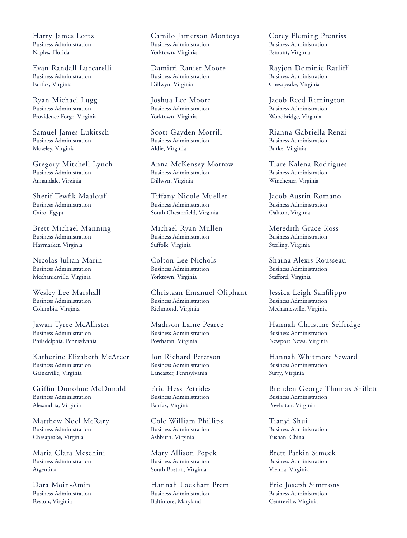Harry James Lortz Business Administration Naples, Florida

Evan Randall Luccarelli Business Administration Fairfax, Virginia

Ryan Michael Lugg Business Administration Providence Forge, Virginia

Samuel James Lukitsch Business Administration Moseley, Virginia

Gregory Mitchell Lynch Business Administration Annandale, Virginia

Sherif Tewfik Maalouf Business Administration Cairo, Egypt

Brett Michael Manning Business Administration Haymarket, Virginia

Nicolas Julian Marin Business Administration Mechanicsville, Virginia

Wesley Lee Marshall Business Administration Columbia, Virginia

Jawan Tyree McAllister Business Administration Philadelphia, Pennsylvania

Katherine Elizabeth McAteer Business Administration Gainesville, Virginia

Griffin Donohue McDonald Business Administration Alexandria, Virginia

Matthew Noel McRary Business Administration Chesapeake, Virginia

Maria Clara Meschini Business Administration Argentina

Dara Moin-Amin Business Administration Reston, Virginia

Camilo Jamerson Montoya Business Administration Yorktown, Virginia

Damitri Ranier Moore Business Administration Dillwyn, Virginia

Joshua Lee Moore Business Administration Yorktown, Virginia

Scott Gayden Morrill Business Administration Aldie, Virginia

Anna McKensey Morrow Business Administration Dillwyn, Virginia

Tiffany Nicole Mueller Business Administration South Chesterfield, Virginia

Michael Ryan Mullen Business Administration Suffolk, Virginia

Colton Lee Nichols Business Administration Yorktown, Virginia

Christaan Emanuel Oliphant Business Administration Richmond, Virginia

Madison Laine Pearce Business Administration Powhatan, Virginia

Jon Richard Peterson Business Administration Lancaster, Pennsylvania

Eric Hess Petrides Business Administration Fairfax, Virginia

Cole William Phillips Business Administration Ashburn, Virginia

Mary Allison Popek Business Administration South Boston, Virginia

Hannah Lockhart Prem Business Administration Baltimore, Maryland

Corey Fleming Prentiss Business Administration Esmont, Virginia

Rayjon Dominic Ratliff Business Administration Chesapeake, Virginia

Jacob Reed Remington Business Administration Woodbridge, Virginia

Rianna Gabriella Renzi Business Administration Burke, Virginia

Tiare Kalena Rodrigues Business Administration Winchester, Virginia

Jacob Austin Romano Business Administration Oakton, Virginia

Meredith Grace Ross Business Administration Sterling, Virginia

Shaina Alexis Rousseau Business Administration Stafford, Virginia

Jessica Leigh Sanfilippo Business Administration Mechanicsville, Virginia

Hannah Christine Selfridge Business Administration Newport News, Virginia

Hannah Whitmore Seward Business Administration Surry, Virginia

Brenden George Thomas Shiflett Business Administration Powhatan, Virginia

Tianyi Shui Business Administration Yushan, China

Brett Parkin Simeck Business Administration Vienna, Virginia

Eric Joseph Simmons Business Administration Centreville, Virginia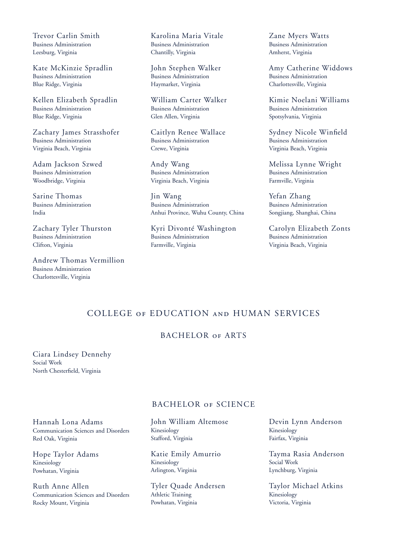Trevor Carlin Smith Business Administration Leesburg, Virginia

Kate McKinzie Spradlin Business Administration Blue Ridge, Virginia

Kellen Elizabeth Spradlin Business Administration Blue Ridge, Virginia

Zachary James Strasshofer Business Administration Virginia Beach, Virginia

Adam Jackson Szwed Business Administration Woodbridge, Virginia

Sarine Thomas Business Administration India

Zachary Tyler Thurston Business Administration Clifton, Virginia

Andrew Thomas Vermillion Business Administration Charlottesville, Virginia

Karolina Maria Vitale Business Administration Chantilly, Virginia

John Stephen Walker Business Administration Haymarket, Virginia

William Carter Walker Business Administration Glen Allen, Virginia

Caitlyn Renee Wallace Business Administration Crewe, Virginia

Andy Wang Business Administration Virginia Beach, Virginia

Jin Wang Business Administration Anhui Province, Wuhu County, China

Kyri Divonté Washington Business Administration Farmville, Virginia

Zane Myers Watts Business Administration Amherst, Virginia

Amy Catherine Widdows Business Administration Charlottesville, Virginia

Kimie Noelani Williams Business Administration Spotsylvania, Virginia

Sydney Nicole Winfield Business Administration Virginia Beach, Virginia

Melissa Lynne Wright Business Administration Farmville, Virginia

Yefan Zhang Business Administration Songjiang, Shanghai, China

Carolyn Elizabeth Zonts Business Administration Virginia Beach, Virginia

## COLLEGE of EDUCATION and HUMAN SERVICES

## BACHELOR OF ARTS

Ciara Lindsey Dennehy Social Work North Chesterfield, Virginia

## BACHELOR of SCIENCE

Hannah Lona Adams Communication Sciences and Disorders Red Oak, Virginia

Hope Taylor Adams Kinesiology Powhatan, Virginia

Ruth Anne Allen Communication Sciences and Disorders Rocky Mount, Virginia

John William Altemose Kinesiology Stafford, Virginia

Katie Emily Amurrio Kinesiology Arlington, Virginia

Tyler Quade Andersen Athletic Training Powhatan, Virginia

Devin Lynn Anderson Kinesiology Fairfax, Virginia

Tayma Rasia Anderson Social Work Lynchburg, Virginia

Taylor Michael Atkins Kinesiology Victoria, Virginia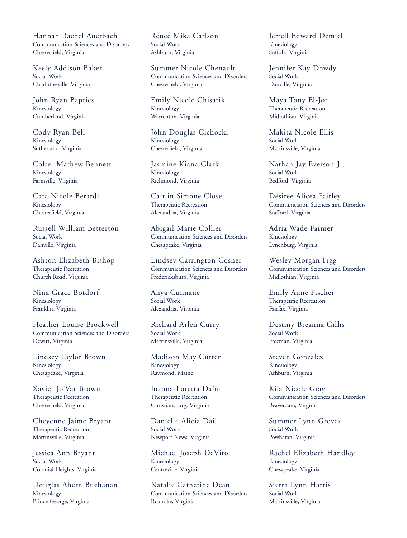Hannah Rachel Auerbach Communication Sciences and Disorders Chesterfield, Virginia

Keely Addison Baker Social Work Charlottesville, Virginia

John Ryan Bapties Kinesiology Cumberland, Virginia

Cody Ryan Bell Kinesiology Sutherland, Virginia

Colter Mathew Bennett Kinesiology Farmville, Virginia

Cara Nicole Berardi Kinesiology Chesterfield, Virginia

Russell William Betterton Social Work Danville, Virginia

Ashton Elizabeth Bishop Therapeutic Recreation Church Road, Virginia

Nina Grace Botdorf Kinesiology Franklin, Virginia

Heather Louise Brockwell Communication Sciences and Disorders Dewitt, Virginia

Lindsey Taylor Brown Kinesiology Chesapeake, Virginia

Xavier Jo'Var Brown Therapeutic Recreation Chesterfield, Virginia

Cheyenne Jaime Bryant Therapeutic Recreation Martinsville, Virginia

Jessica Ann Bryant Social Work Colonial Heights, Virginia

Douglas Ahern Buchanan Kinesiology Prince George, Virginia

Renee Mika Carlson Social Work Ashburn, Virginia

Summer Nicole Chenault Communication Sciences and Disorders Chesterfield, Virginia

Emily Nicole Chisarik Kinesiology Warrenton, Virginia

John Douglas Cichocki Kinesiology Chesterfield, Virginia

Jasmine Kiana Clark Kinesiology Richmond, Virginia

Caitlin Simone Close Therapeutic Recreation Alexandria, Virginia

Abigail Marie Collier Communication Sciences and Disorders Chesapeake, Virginia

Lindsey Carrington Cosner Communication Sciences and Disorders Fredericksburg, Virginia

Anya Cunnane Social Work Alexandria, Virginia

Richard Arlen Curry Social Work Martinsville, Virginia

Madison May Cutten Kinesiology Raymond, Maine

Joanna Loretta Dafin Therapeutic Recreation Christiansburg, Virginia

Danielle Alicia Dail Social Work Newport News, Virginia

Michael Joseph DeVito Kinesiology Centreville, Virginia

Natalie Catherine Dean Communication Sciences and Disorders Roanoke, Virginia

Jerrell Edward Demiel Kinesiology Suffolk, Virginia

Jennifer Kay Dowdy Social Work Danville, Virginia

Maya Tony El-Jor Therapeutic Recreation Midlothian, Virginia

Makita Nicole Ellis Social Work Martinsville, Virginia

Nathan Jay Everson Jr. Social Work Bedford, Virginia

Désiree Alicea Fairley Communication Sciences and Disorders Stafford, Virginia

Adria Wade Farmer Kinesiology Lynchburg, Virginia

Wesley Morgan Figg Communication Sciences and Disorders Midlothian, Virginia

Emily Anne Fischer Therapeutic Recreation Fairfax, Virginia

Destiny Breanna Gillis Social Work Freeman, Virginia

Steven Gonzalez Kinesiology Ashburn, Virginia

Kila Nicole Gray Communication Sciences and Disorders Beaverdam, Virginia

Summer Lynn Groves Social Work Powhatan, Virginia

Rachel Elizabeth Handley Kinesiology Chesapeake, Virginia

Sierra Lynn Harris Social Work Martinsville, Virginia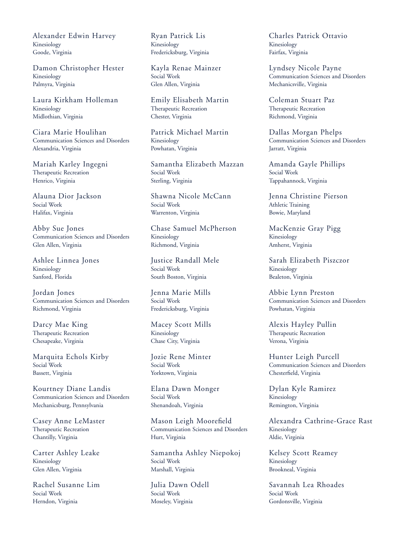Alexander Edwin Harvey Kinesiology Goode, Virginia

Damon Christopher Hester Kinesiology Palmyra, Virginia

Laura Kirkham Holleman Kinesiology Midlothian, Virginia

Ciara Marie Houlihan Communication Sciences and Disorders Alexandria, Virginia

Mariah Karley Ingegni Therapeutic Recreation Henrico, Virginia

Alauna Dior Jackson Social Work Halifax, Virginia

Abby Sue Jones Communication Sciences and Disorders Glen Allen, Virginia

Ashlee Linnea Jones Kinesiology Sanford, Florida

Jordan Jones Communication Sciences and Disorders Richmond, Virginia

Darcy Mae King Therapeutic Recreation Chesapeake, Virginia

Marquita Echols Kirby Social Work Bassett, Virginia

Kourtney Diane Landis Communication Sciences and Disorders Mechanicsburg, Pennsylvania

Casey Anne LeMaster Therapeutic Recreation Chantilly, Virginia

Carter Ashley Leake Kinesiology Glen Allen, Virginia

Rachel Susanne Lim Social Work Herndon, Virginia

Ryan Patrick Lis Kinesiology Fredericksburg, Virginia

Kayla Renae Mainzer Social Work Glen Allen, Virginia

Emily Elisabeth Martin Therapeutic Recreation Chester, Virginia

Patrick Michael Martin Kinesiology Powhatan, Virginia

Samantha Elizabeth Mazzan Social Work Sterling, Virginia

Shawna Nicole McCann Social Work Warrenton, Virginia

Chase Samuel McPherson Kinesiology Richmond, Virginia

Justice Randall Mele Social Work South Boston, Virginia

Jenna Marie Mills Social Work Fredericksburg, Virginia

Macey Scott Mills Kinesiology Chase City, Virginia

Jozie Rene Minter Social Work Yorktown, Virginia

Elana Dawn Monger Social Work Shenandoah, Virginia

Mason Leigh Moorefield Communication Sciences and Disorders Hurt, Virginia

Samantha Ashley Niepokoj Social Work Marshall, Virginia

Julia Dawn Odell Social Work Moseley, Virginia

Charles Patrick Ottavio Kinesiology Fairfax, Virginia

Lyndsey Nicole Payne Communication Sciences and Disorders Mechanicsville, Virginia

Coleman Stuart Paz Therapeutic Recreation Richmond, Virginia

Dallas Morgan Phelps Communication Sciences and Disorders Jarratt, Virginia

Amanda Gayle Phillips Social Work Tappahannock, Virginia

Jenna Christine Pierson Athletic Training Bowie, Maryland

MacKenzie Gray Pigg Kinesiology Amherst, Virginia

Sarah Elizabeth Piszczor Kinesiology Bealeton, Virginia

Abbie Lynn Preston Communication Sciences and Disorders Powhatan, Virginia

Alexis Hayley Pullin Therapeutic Recreation Verona, Virginia

Hunter Leigh Purcell Communication Sciences and Disorders Chesterfield, Virginia

Dylan Kyle Ramirez Kinesiology Remington, Virginia

Alexandra Cathrine-Grace Rast Kinesiology Aldie, Virginia

Kelsey Scott Reamey Kinesiology Brookneal, Virginia

Savannah Lea Rhoades Social Work Gordonsville, Virginia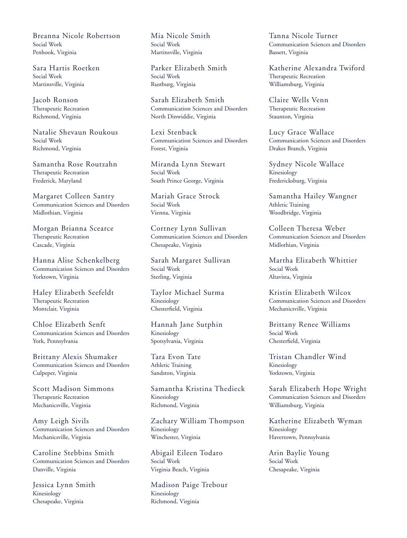Breanna Nicole Robertson Social Work Penhook, Virginia

Sara Hartis Roetken Social Work Martinsville, Virginia

Jacob Ronson Therapeutic Recreation Richmond, Virginia

Natalie Shevaun Roukous Social Work Richmond, Virginia

Samantha Rose Routzahn Therapeutic Recreation Frederick, Maryland

Margaret Colleen Santry Communication Sciences and Disorders Midlothian, Virginia

Morgan Brianna Scearce Therapeutic Recreation Cascade, Virginia

Hanna Alise Schenkelberg Communication Sciences and Disorders Yorktown, Virginia

Haley Elizabeth Seefeldt Therapeutic Recreation Montclair, Virginia

Chloe Elizabeth Senft Communication Sciences and Disorders York, Pennsylvania

Brittany Alexis Shumaker Communication Sciences and Disorders Culpeper, Virginia

Scott Madison Simmons Therapeutic Recreation Mechanicsville, Virginia

Amy Leigh Sivils Communication Sciences and Disorders Mechanicsville, Virginia

Caroline Stebbins Smith Communication Sciences and Disorders Danville, Virginia

Jessica Lynn Smith Kinesiology Chesapeake, Virginia

Mia Nicole Smith Social Work Martinsville, Virginia

Parker Elizabeth Smith Social Work Rustburg, Virginia

Sarah Elizabeth Smith Communication Sciences and Disorders North Dinwiddie, Virginia

Lexi Stenback Communication Sciences and Disorders Forest, Virginia

Miranda Lynn Stewart Social Work South Prince George, Virginia

Mariah Grace Strock Social Work Vienna, Virginia

Cortney Lynn Sullivan Communication Sciences and Disorders Chesapeake, Virginia

Sarah Margaret Sullivan Social Work Sterling, Virginia

Taylor Michael Surma Kinesiology Chesterfield, Virginia

Hannah Jane Sutphin Kinesiology Spotsylvania, Virginia

Tara Evon Tate Athletic Training Sandston, Virginia

Samantha Kristina Thedieck Kinesiology Richmond, Virginia

Zachary William Thompson Kinesiology Winchester, Virginia

Abigail Eileen Todaro Social Work Virginia Beach, Virginia

Madison Paige Trebour Kinesiology Richmond, Virginia

Tanna Nicole Turner Communication Sciences and Disorders Bassett, Virginia

Katherine Alexandra Twiford Therapeutic Recreation Williamsburg, Virginia

Claire Wells Venn Therapeutic Recreation Staunton, Virginia

Lucy Grace Wallace Communication Sciences and Disorders Drakes Branch, Virginia

Sydney Nicole Wallace Kinesiology Fredericksburg, Virginia

Samantha Hailey Wangner Athletic Training Woodbridge, Virginia

Colleen Theresa Weber Communication Sciences and Disorders Midlothian, Virginia

Martha Elizabeth Whittier Social Work Altavista, Virginia

Kristin Elizabeth Wilcox Communication Sciences and Disorders Mechanicsville, Virginia

Brittany Renee Williams Social Work Chesterfield, Virginia

Tristan Chandler Wind Kinesiology Yorktown, Virginia

Sarah Elizabeth Hope Wright Communication Sciences and Disorders Williamsburg, Virginia

Katherine Elizabeth Wyman Kinesiology Havertown, Pennsylvania

Arin Baylie Young Social Work Chesapeake, Virginia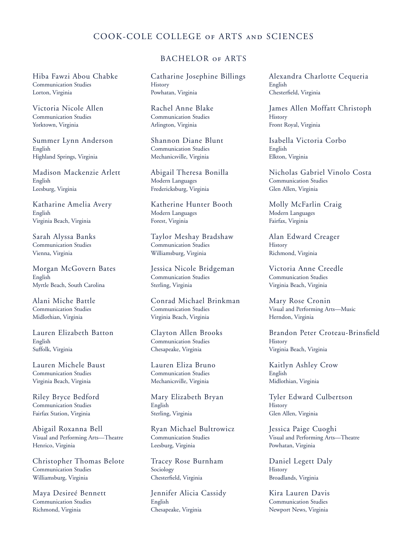## COOK-COLE COLLEGE of ARTS and SCIENCES

Hiba Fawzi Abou Chabke Communication Studies Lorton, Virginia

Victoria Nicole Allen Communication Studies Yorktown, Virginia

Summer Lynn Anderson English Highland Springs, Virginia

Madison Mackenzie Arlett English Leesburg, Virginia

Katharine Amelia Avery English Virginia Beach, Virginia

Sarah Alyssa Banks Communication Studies Vienna, Virginia

Morgan McGovern Bates English Myrtle Beach, South Carolina

Alani Miche Battle Communication Studies Midlothian, Virginia

Lauren Elizabeth Batton English Suffolk, Virginia

Lauren Michele Baust Communication Studies Virginia Beach, Virginia

Riley Bryce Bedford Communication Studies Fairfax Station, Virginia

Abigail Roxanna Bell Visual and Performing Arts—Theatre Henrico, Virginia

Christopher Thomas Belote Communication Studies Williamsburg, Virginia

Maya Desireé Bennett Communication Studies Richmond, Virginia

## BACHELOR of ARTS

Catharine Josephine Billings **History** Powhatan, Virginia

Rachel Anne Blake Communication Studies Arlington, Virginia

Shannon Diane Blunt Communication Studies Mechanicsville, Virginia

Abigail Theresa Bonilla Modern Languages Fredericksburg, Virginia

Katherine Hunter Booth Modern Languages Forest, Virginia

Taylor Meshay Bradshaw Communication Studies Williamsburg, Virginia

Jessica Nicole Bridgeman Communication Studies Sterling, Virginia

Conrad Michael Brinkman Communication Studies Virginia Beach, Virginia

Clayton Allen Brooks Communication Studies Chesapeake, Virginia

Lauren Eliza Bruno Communication Studies Mechanicsville, Virginia

Mary Elizabeth Bryan English Sterling, Virginia

Ryan Michael Bultrowicz Communication Studies Leesburg, Virginia

Tracey Rose Burnham Sociology Chesterfield, Virginia

Jennifer Alicia Cassidy English Chesapeake, Virginia

Alexandra Charlotte Cequeria English Chesterfield, Virginia

James Allen Moffatt Christoph **History** Front Royal, Virginia

Isabella Victoria Corbo English Elkton, Virginia

Nicholas Gabriel Vinolo Costa Communication Studies Glen Allen, Virginia

Molly McFarlin Craig Modern Languages Fairfax, Virginia

Alan Edward Creager **History** Richmond, Virginia

Victoria Anne Creedle Communication Studies Virginia Beach, Virginia

Mary Rose Cronin Visual and Performing Arts—Music Herndon, Virginia

Brandon Peter Croteau-Brinsfield **History** Virginia Beach, Virginia

Kaitlyn Ashley Crow English Midlothian, Virginia

Tyler Edward Culbertson **History** Glen Allen, Virginia

Jessica Paige Cuoghi Visual and Performing Arts—Theatre Powhatan, Virginia

Daniel Legett Daly **History** Broadlands, Virginia

Kira Lauren Davis Communication Studies Newport News, Virginia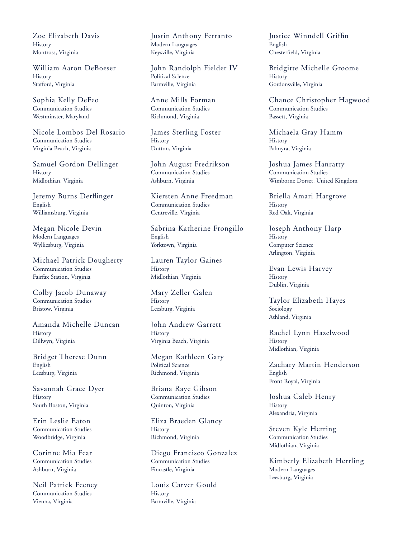Zoe Elizabeth Davis **History** Montross, Virginia

William Aaron DeBoeser History Stafford, Virginia

Sophia Kelly DeFeo Communication Studies Westminster, Maryland

Nicole Lombos Del Rosario Communication Studies Virginia Beach, Virginia

Samuel Gordon Dellinger History Midlothian, Virginia

Jeremy Burns Derflinger English Williamsburg, Virginia

Megan Nicole Devin Modern Languages Wylliesburg, Virginia

Michael Patrick Dougherty Communication Studies Fairfax Station, Virginia

Colby Jacob Dunaway Communication Studies Bristow, Virginia

Amanda Michelle Duncan History Dillwyn, Virginia

Bridget Therese Dunn English Leesburg, Virginia

Savannah Grace Dyer **History** South Boston, Virginia

Erin Leslie Eaton Communication Studies Woodbridge, Virginia

Corinne Mia Fear Communication Studies Ashburn, Virginia

Neil Patrick Feeney Communication Studies Vienna, Virginia

Justin Anthony Ferranto Modern Languages Keysville, Virginia

John Randolph Fielder IV Political Science Farmville, Virginia

Anne Mills Forman Communication Studies Richmond, Virginia

James Sterling Foster **History** Dutton, Virginia

John August Fredrikson Communication Studies Ashburn, Virginia

Kiersten Anne Freedman Communication Studies Centreville, Virginia

Sabrina Katherine Frongillo English Yorktown, Virginia

Lauren Taylor Gaines **History** Midlothian, Virginia

Mary Zeller Galen **History** Leesburg, Virginia

John Andrew Garrett History Virginia Beach, Virginia

Megan Kathleen Gary Political Science Richmond, Virginia

Briana Raye Gibson Communication Studies Quinton, Virginia

Eliza Braeden Glancy History Richmond, Virginia

Diego Francisco Gonzalez Communication Studies Fincastle, Virginia

Louis Carver Gould **History** Farmville, Virginia

Justice Winndell Griffin English Chesterfield, Virginia

Bridgitte Michelle Groome History Gordonsville, Virginia

Chance Christopher Hagwood Communication Studies Bassett, Virginia

Michaela Gray Hamm **History** Palmyra, Virginia

Joshua James Hanratty Communication Studies Wimborne Dorset, United Kingdom

Briella Amari Hargrove **History** Red Oak, Virginia

Joseph Anthony Harp **History** Computer Science Arlington, Virginia

Evan Lewis Harvey **History** Dublin, Virginia

Taylor Elizabeth Hayes Sociology Ashland, Virginia

Rachel Lynn Hazelwood **History** Midlothian, Virginia

Zachary Martin Henderson English Front Royal, Virginia

Joshua Caleb Henry History Alexandria, Virginia

Steven Kyle Herring Communication Studies Midlothian, Virginia

Kimberly Elizabeth Herrling Modern Languages Leesburg, Virginia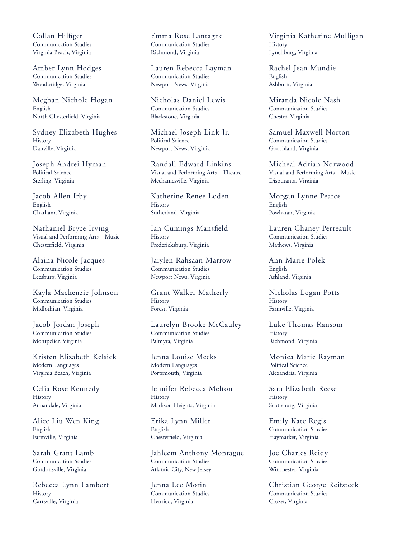Collan Hilfiger Communication Studies Virginia Beach, Virginia

Amber Lynn Hodges Communication Studies Woodbridge, Virginia

Meghan Nichole Hogan English North Chesterfield, Virginia

Sydney Elizabeth Hughes **History** Danville, Virginia

Joseph Andrei Hyman Political Science Sterling, Virginia

Jacob Allen Irby English Chatham, Virginia

Nathaniel Bryce Irving Visual and Performing Arts—Music Chesterfield, Virginia

Alaina Nicole Jacques Communication Studies Leesburg, Virginia

Kayla Mackenzie Johnson Communication Studies Midlothian, Virginia

Jacob Jordan Joseph Communication Studies Montpelier, Virginia

Kristen Elizabeth Kelsick Modern Languages Virginia Beach, Virginia

Celia Rose Kennedy **History** Annandale, Virginia

Alice Liu Wen King English Farmville, Virginia

Sarah Grant Lamb Communication Studies Gordonsville, Virginia

Rebecca Lynn Lambert **History** Carrsville, Virginia

Emma Rose Lantagne Communication Studies Richmond, Virginia

Lauren Rebecca Layman Communication Studies Newport News, Virginia

Nicholas Daniel Lewis Communication Studies Blackstone, Virginia

Michael Joseph Link Jr. Political Science Newport News, Virginia

Randall Edward Linkins Visual and Performing Arts—Theatre Mechanicsville, Virginia

Katherine Renee Loden **History** Sutherland, Virginia

Ian Cumings Mansfield **History** Fredericksburg, Virginia

Jaiylen Rahsaan Marrow Communication Studies Newport News, Virginia

Grant Walker Matherly **History** Forest, Virginia

Laurelyn Brooke McCauley Communication Studies Palmyra, Virginia

Jenna Louise Meeks Modern Languages Portsmouth, Virginia

Jennifer Rebecca Melton **History** Madison Heights, Virginia

Erika Lynn Miller English Chesterfield, Virginia

Jahleem Anthony Montague Communication Studies Atlantic City, New Jersey

Jenna Lee Morin Communication Studies Henrico, Virginia

Virginia Katherine Mulligan **History** Lynchburg, Virginia

Rachel Jean Mundie English Ashburn, Virginia

Miranda Nicole Nash Communication Studies Chester, Virginia

Samuel Maxwell Norton Communication Studies Goochland, Virginia

Micheal Adrian Norwood Visual and Performing Arts—Music Disputanta, Virginia

Morgan Lynne Pearce English Powhatan, Virginia

Lauren Chaney Perreault Communication Studies Mathews, Virginia

Ann Marie Polek English Ashland, Virginia

Nicholas Logan Potts **History** Farmville, Virginia

Luke Thomas Ransom **History** Richmond, Virginia

Monica Marie Rayman Political Science Alexandria, Virginia

Sara Elizabeth Reese History Scottsburg, Virginia

Emily Kate Regis Communication Studies Haymarket, Virginia

Joe Charles Reidy Communication Studies Winchester, Virginia

Christian George Reifsteck Communication Studies Crozet, Virginia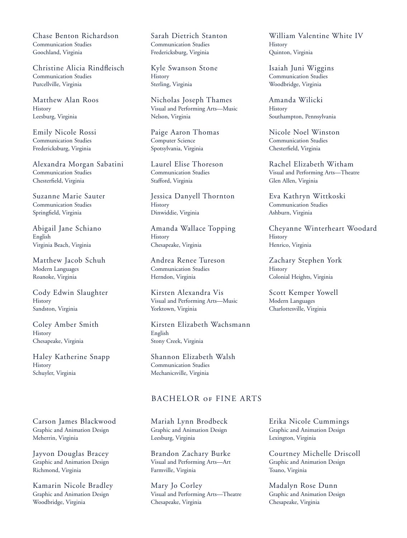Chase Benton Richardson Communication Studies Goochland, Virginia

Christine Alicia Rindfleisch Communication Studies Purcellville, Virginia

Matthew Alan Roos **History** Leesburg, Virginia

Emily Nicole Rossi Communication Studies Fredericksburg, Virginia

Alexandra Morgan Sabatini Communication Studies Chesterfield, Virginia

Suzanne Marie Sauter Communication Studies Springfield, Virginia

Abigail Jane Schiano English Virginia Beach, Virginia

Matthew Jacob Schuh Modern Languages Roanoke, Virginia

Cody Edwin Slaughter **History** Sandston, Virginia

Coley Amber Smith **History** Chesapeake, Virginia

Haley Katherine Snapp History Schuyler, Virginia

Carson James Blackwood Graphic and Animation Design Meherrin, Virginia

Jayvon Douglas Bracey Graphic and Animation Design Richmond, Virginia

Kamarin Nicole Bradley Graphic and Animation Design Woodbridge, Virginia

Sarah Dietrich Stanton Communication Studies Fredericksburg, Virginia

Kyle Swanson Stone **History** Sterling, Virginia

Nicholas Joseph Thames Visual and Performing Arts—Music Nelson, Virginia

Paige Aaron Thomas Computer Science Spotsylvania, Virginia

Laurel Elise Thoreson Communication Studies Stafford, Virginia

Jessica Danyell Thornton **History** Dinwiddie, Virginia

Amanda Wallace Topping **History** Chesapeake, Virginia

Andrea Renee Tureson Communication Studies Herndon, Virginia

Kirsten Alexandra Vis Visual and Performing Arts—Music Yorktown, Virginia

Kirsten Elizabeth Wachsmann English Stony Creek, Virginia

Shannon Elizabeth Walsh Communication Studies Mechanicsville, Virginia

## BACHELOR of FINE ARTS

Mariah Lynn Brodbeck Graphic and Animation Design Leesburg, Virginia

Brandon Zachary Burke Visual and Performing Arts—Art Farmville, Virginia

Mary Jo Corley Visual and Performing Arts—Theatre Chesapeake, Virginia

William Valentine White IV **History** Quinton, Virginia

Isaiah Juni Wiggins Communication Studies Woodbridge, Virginia

Amanda Wilicki **History** Southampton, Pennsylvania

Nicole Noel Winston Communication Studies Chesterfield, Virginia

Rachel Elizabeth Witham Visual and Performing Arts—Theatre Glen Allen, Virginia

Eva Kathryn Wittkoski Communication Studies Ashburn, Virginia

Cheyanne Winterheart Woodard **History** Henrico, Virginia

Zachary Stephen York **History** Colonial Heights, Virginia

Scott Kemper Yowell Modern Languages Charlottesville, Virginia

Erika Nicole Cummings Graphic and Animation Design Lexington, Virginia

Courtney Michelle Driscoll Graphic and Animation Design Toano, Virginia

Madalyn Rose Dunn Graphic and Animation Design Chesapeake, Virginia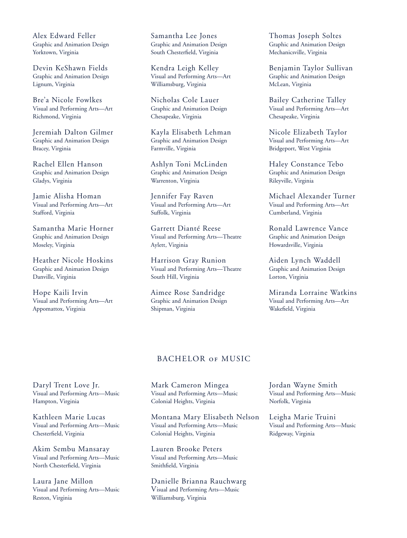Alex Edward Feller Graphic and Animation Design Yorktown, Virginia

Devin KeShawn Fields Graphic and Animation Design Lignum, Virginia

Bre'a Nicole Fowlkes Visual and Performing Arts—Art Richmond, Virginia

Jeremiah Dalton Gilmer Graphic and Animation Design Bracey, Virginia

Rachel Ellen Hanson Graphic and Animation Design Gladys, Virginia

Jamie Alisha Homan Visual and Performing Arts—Art Stafford, Virginia

Samantha Marie Horner Graphic and Animation Design Moseley, Virginia

Heather Nicole Hoskins Graphic and Animation Design Danville, Virginia

Hope Kaili Irvin Visual and Performing Arts—Art Appomattox, Virginia

Samantha Lee Jones Graphic and Animation Design South Chesterfield, Virginia

Kendra Leigh Kelley Visual and Performing Arts—Art Williamsburg, Virginia

Nicholas Cole Lauer Graphic and Animation Design Chesapeake, Virginia

Kayla Elisabeth Lehman Graphic and Animation Design Farmville, Virginia

Ashlyn Toni McLinden Graphic and Animation Design Warrenton, Virginia

Jennifer Fay Raven Visual and Performing Arts—Art Suffolk, Virginia

Garrett Dianté Reese Visual and Performing Arts—Theatre Aylett, Virginia

Harrison Gray Runion Visual and Performing Arts—Theatre South Hill, Virginia

Aimee Rose Sandridge Graphic and Animation Design Shipman, Virginia

Thomas Joseph Soltes Graphic and Animation Design Mechanicsville, Virginia

Benjamin Taylor Sullivan Graphic and Animation Design McLean, Virginia

Bailey Catherine Talley Visual and Performing Arts—Art Chesapeake, Virginia

Nicole Elizabeth Taylor Visual and Performing Arts—Art Bridgeport, West Virginia

Haley Constance Tebo Graphic and Animation Design Rileyville, Virginia

Michael Alexander Turner Visual and Performing Arts—Art Cumberland, Virginia

Ronald Lawrence Vance Graphic and Animation Design Howardsville, Virginia

Aiden Lynch Waddell Graphic and Animation Design Lorton, Virginia

Miranda Lorraine Watkins Visual and Performing Arts—Art Wakefield, Virginia

## BACHELOR OF MUSIC

Daryl Trent Love Jr. Visual and Performing Arts—Music Hampton, Virginia

Kathleen Marie Lucas Visual and Performing Arts—Music Chesterfield, Virginia

Akim Sembu Mansaray Visual and Performing Arts—Music North Chesterfield, Virginia

Laura Jane Millon Visual and Performing Arts—Music Reston, Virginia

Mark Cameron Mingea Visual and Performing Arts—Music Colonial Heights, Virginia

Montana Mary Elisabeth Nelson Visual and Performing Arts—Music Colonial Heights, Virginia

Lauren Brooke Peters Visual and Performing Arts—Music Smithfield, Virginia

Danielle Brianna Rauchwarg Visual and Performing Arts—Music Williamsburg, Virginia

Jordan Wayne Smith Visual and Performing Arts—Music Norfolk, Virginia

Leigha Marie Truini Visual and Performing Arts—Music Ridgeway, Virginia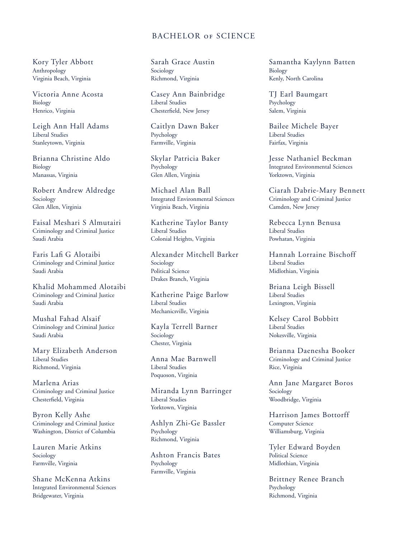## BACHELOR of SCIENCE

Kory Tyler Abbott Anthropology Virginia Beach, Virginia

Victoria Anne Acosta Biology Henrico, Virginia

Leigh Ann Hall Adams Liberal Studies Stanleytown, Virginia

Brianna Christine Aldo Biology Manassas, Virginia

Robert Andrew Aldredge Sociology Glen Allen, Virginia

Faisal Meshari S Almutairi Criminology and Criminal Justice Saudi Arabia

Faris Lafi G Alotaibi Criminology and Criminal Justice Saudi Arabia

Khalid Mohammed Alotaibi Criminology and Criminal Justice Saudi Arabia

Mushal Fahad Alsaif Criminology and Criminal Justice Saudi Arabia

Mary Elizabeth Anderson Liberal Studies Richmond, Virginia

Marlena Arias Criminology and Criminal Justice Chesterfield, Virginia

Byron Kelly Ashe Criminology and Criminal Justice Washington, District of Columbia

Lauren Marie Atkins Sociology Farmville, Virginia

Shane McKenna Atkins Integrated Environmental Sciences Bridgewater, Virginia

Sarah Grace Austin Sociology Richmond, Virginia

Casey Ann Bainbridge Liberal Studies Chesterfield, New Jersey

Caitlyn Dawn Baker Psychology Farmville, Virginia

Skylar Patricia Baker Psychology Glen Allen, Virginia

Michael Alan Ball Integrated Environmental Sciences Virginia Beach, Virginia

Katherine Taylor Banty Liberal Studies Colonial Heights, Virginia

Alexander Mitchell Barker Sociology Political Science Drakes Branch, Virginia

Katherine Paige Barlow Liberal Studies Mechanicsville, Virginia

Kayla Terrell Barner Sociology Chester, Virginia

Anna Mae Barnwell Liberal Studies Poquoson, Virginia

Miranda Lynn Barringer Liberal Studies Yorktown, Virginia

Ashlyn Zhi-Ge Bassler Psychology Richmond, Virginia

Ashton Francis Bates Psychology Farmville, Virginia

Samantha Kaylynn Batten Biology Kenly, North Carolina

TJ Earl Baumgart Psychology Salem, Virginia

Bailee Michele Bayer Liberal Studies Fairfax, Virginia

Jesse Nathaniel Beckman Integrated Environmental Sciences Yorktown, Virginia

Ciarah Dabrie-Mary Bennett Criminology and Criminal Justice Camden, New Jersey

Rebecca Lynn Benusa Liberal Studies Powhatan, Virginia

Hannah Lorraine Bischoff Liberal Studies Midlothian, Virginia

Briana Leigh Bissell Liberal Studies Lexington, Virginia

Kelsey Carol Bobbitt Liberal Studies Nokesville, Virginia

Brianna Daenesha Booker Criminology and Criminal Justice Rice, Virginia

Ann Jane Margaret Boros Sociology Woodbridge, Virginia

Harrison James Bottorff Computer Science Williamsburg, Virginia

Tyler Edward Boyden Political Science Midlothian, Virginia

Brittney Renee Branch Psychology Richmond, Virginia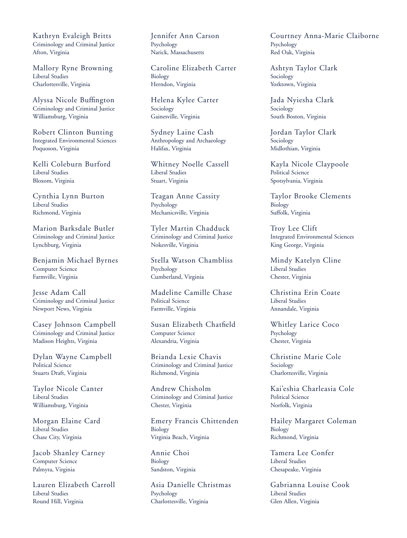Kathryn Evaleigh Britts Criminology and Criminal Justice Afton, Virginia

Mallory Ryne Browning Liberal Studies Charlottesville, Virginia

Alyssa Nicole Buffington Criminology and Criminal Justice Williamsburg, Virginia

Robert Clinton Bunting Integrated Environmental Sciences Poquoson, Virginia

Kelli Coleburn Burford Liberal Studies Bloxom, Virginia

Cynthia Lynn Burton Liberal Studies Richmond, Virginia

Marion Barksdale Butler Criminology and Criminal Justice Lynchburg, Virginia

Benjamin Michael Byrnes Computer Science Farmville, Virginia

Jesse Adam Call Criminology and Criminal Justice Newport News, Virginia

Casey Johnson Campbell Criminology and Criminal Justice Madison Heights, Virginia

Dylan Wayne Campbell Political Science Stuarts Draft, Virginia

Taylor Nicole Canter Liberal Studies Williamsburg, Virginia

Morgan Elaine Card Liberal Studies Chase City, Virginia

Jacob Shanley Carney Computer Science Palmyra, Virginia

Lauren Elizabeth Carroll Liberal Studies Round Hill, Virginia

Jennifer Ann Carson Psychology Narick, Massachusetts

Caroline Elizabeth Carter Biology Herndon, Virginia

Helena Kylee Carter Sociology Gainesville, Virginia

Sydney Laine Cash Anthropology and Archaeology Halifax, Virginia

Whitney Noelle Cassell Liberal Studies Stuart, Virginia

Teagan Anne Cassity Psychology Mechanicsville, Virginia

Tyler Martin Chadduck Criminology and Criminal Justice Nokesville, Virginia

Stella Watson Chambliss Psychology Cumberland, Virginia

Madeline Camille Chase Political Science Farmville, Virginia

Susan Elizabeth Chatfield Computer Science Alexandria, Virginia

Brianda Lexie Chavis Criminology and Criminal Justice Richmond, Virginia

Andrew Chisholm Criminology and Criminal Justice Chester, Virginia

Emery Francis Chittenden Biology Virginia Beach, Virginia

Annie Choi Biology Sandston, Virginia

Asia Danielle Christmas Psychology Charlottesville, Virginia

Courtney Anna-Marie Claiborne Psychology Red Oak, Virginia

Ashtyn Taylor Clark Sociology Yorktown, Virginia

Jada Nyiesha Clark Sociology South Boston, Virginia

Jordan Taylor Clark Sociology Midlothian, Virginia

Kayla Nicole Claypoole Political Science Spotsylvania, Virginia

Taylor Brooke Clements Biology Suffolk, Virginia

Troy Lee Clift Integrated Environmental Sciences King George, Virginia

Mindy Katelyn Cline Liberal Studies Chester, Virginia

Christina Erin Coate Liberal Studies Annandale, Virginia

Whitley Larice Coco Psychology Chester, Virginia

Christine Marie Cole Sociology Charlottesville, Virginia

Kai'eshia Charleasia Cole Political Science Norfolk, Virginia

Hailey Margaret Coleman Biology Richmond, Virginia

Tamera Lee Confer Liberal Studies Chesapeake, Virginia

Gabrianna Louise Cook Liberal Studies Glen Allen, Virginia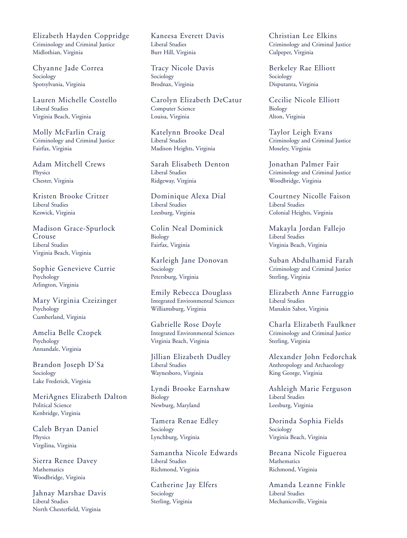Elizabeth Hayden Coppridge Criminology and Criminal Justice Midlothian, Virginia

Chyanne Jade Correa Sociology Spotsylvania, Virginia

Lauren Michelle Costello Liberal Studies Virginia Beach, Virginia

Molly McFarlin Craig Criminology and Criminal Justice Fairfax, Virginia

Adam Mitchell Crews **Physics** Chester, Virginia

Kristen Brooke Critzer Liberal Studies Keswick, Virginia

Madison Grace-Spurlock Crouse Liberal Studies Virginia Beach, Virginia

Sophie Genevieve Currie Psychology Arlington, Virginia

Mary Virginia Czeizinger Psychology Cumberland, Virginia

Amelia Belle Czopek Psychology Annandale, Virginia

Brandon Joseph D'Sa Sociology Lake Frederick, Virginia

MeriAgnes Elizabeth Dalton Political Science Kenbridge, Virginia

Caleb Bryan Daniel Physics Virgilina, Virginia

Sierra Renee Davey Mathematics Woodbridge, Virginia

Jahnay Marshae Davis Liberal Studies North Chesterfield, Virginia

Kaneesa Everett Davis Liberal Studies Burr Hill, Virginia

Tracy Nicole Davis Sociology Brodnax, Virginia

Carolyn Elizabeth DeCatur Computer Science Louisa, Virginia

Katelynn Brooke Deal Liberal Studies Madison Heights, Virginia

Sarah Elisabeth Denton Liberal Studies Ridgeway, Virginia

Dominique Alexa Dial Liberal Studies Leesburg, Virginia

Colin Neal Dominick Biology Fairfax, Virginia

Karleigh Jane Donovan Sociology Petersburg, Virginia

Emily Rebecca Douglass Integrated Environmental Sciences Williamsburg, Virginia

Gabrielle Rose Doyle Integrated Environmental Sciences Virginia Beach, Virginia

Jillian Elizabeth Dudley Liberal Studies Waynesboro, Virginia

Lyndi Brooke Earnshaw Biology Newburg, Maryland

Tamera Renae Edley Sociology Lynchburg, Virginia

Samantha Nicole Edwards Liberal Studies Richmond, Virginia

Catherine Jay Elfers Sociology Sterling, Virginia

Christian Lee Elkins Criminology and Criminal Justice Culpeper, Virginia

Berkeley Rae Elliott Sociology Disputanta, Virginia

Cecilie Nicole Elliott Biology Alton, Virginia

Taylor Leigh Evans Criminology and Criminal Justice Moseley, Virginia

Jonathan Palmer Fair Criminology and Criminal Justice Woodbridge, Virginia

Courtney Nicolle Faison Liberal Studies Colonial Heights, Virginia

Makayla Jordan Fallejo Liberal Studies Virginia Beach, Virginia

Suban Abdulhamid Farah Criminology and Criminal Justice Sterling, Virginia

Elizabeth Anne Farruggio Liberal Studies Manakin Sabot, Virginia

Charla Elizabeth Faulkner Criminology and Criminal Justice Sterling, Virginia

Alexander John Fedorchak Anthropology and Archaeology King George, Virginia

Ashleigh Marie Ferguson Liberal Studies Leesburg, Virginia

Dorinda Sophia Fields Sociology Virginia Beach, Virginia

Breana Nicole Figueroa **Mathematics** Richmond, Virginia

Amanda Leanne Finkle Liberal Studies Mechanicsville, Virginia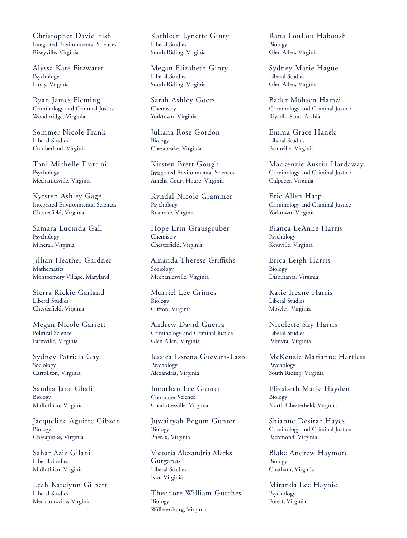Christopher David Fish Integrated Environmental Sciences Rixeyville, Virginia

Alyssa Kate Fitzwater Psychology Luray, Virginia

Ryan James Fleming Criminology and Criminal Justice Woodbridge, Virginia

Sommer Nicole Frank Liberal Studies Cumberland, Virginia

Toni Michelle Frattini Psychology Mechanicsville, Virginia

Kyrsten Ashley Gage Integrated Environmental Sciences Chesterfield, Virginia

Samara Lucinda Gall Psychology Mineral, Virginia

Jillian Heather Gardner Mathematics Montgomery Village, Maryland

Sierra Rickie Garland Liberal Studies Chesterfield, Virginia

Megan Nicole Garrett Political Science Farmville, Virginia

Sydney Patricia Gay Sociology Carrollton, Virginia

Sandra Jane Ghali Biology Midlothian, Virginia

Jacqueline Aguirre Gibson Biology Chesapeake, Virginia

Sahar Aziz Gilani Liberal Studies Midlothian, Virginia

Leah Katelynn Gilbert Liberal Studies Mechanicsville, Virginia

Kathleen Lynette Ginty Liberal Studies South Riding, Virginia

Megan Elizabeth Ginty Liberal Studies South Riding, Virginia

Sarah Ashley Goetz **Chemistry** Yorktown, Virginia

Juliana Rose Gordon Biology Chesapeake, Virginia

Kirsten Brett Gough Integrated Environmental Sciences Amelia Court House, Virginia

Kyndal Nicole Grammer Psychology Roanoke, Virginia

Hope Erin Grausgruber Chemistry Chesterfield, Virginia

Amanda Therese Griffiths Sociology Mechanicsville, Virginia

Murriel Lee Grimes Biology Clifton, Virginia

Andrew David Guerra Criminology and Criminal Justice Glen Allen, Virginia

Jessica Lorena Guevara-Lazo Psychology Alexandria, Virginia

Jonathan Lee Gunter Computer Science Charlottesville, Virginia

Juwairyah Begum Gunter Biology Phenix, Virginia

Victoria Alexandria Marks Gurganus Liberal Studies Ivor, Virginia

Theodore William Gutches Biology Williamsburg, Virginia

Rana LouLou Haboush Biology Glen Allen, Virginia

Sydney Marie Hague Liberal Studies Glen Allen, Virginia

Bader Mohsen Hamzi Criminology and Criminal Justice Riyadh, Saudi Arabia

Emma Grace Hanek Liberal Studies Farmville, Virginia

Mackenzie Austin Hardaway Criminology and Criminal Justice Culpeper, Virginia

Eric Allen Harp Criminology and Criminal Justice Yorktown, Virginia

Bianca LeAnne Harris Psychology Keysville, Virginia

Erica Leigh Harris Biology Disputanta, Virginia

Katie Ireane Harris Liberal Studies Moseley, Virginia

Nicolette Sky Harris Liberal Studies Palmyra, Virginia

McKenzie Marianne Hartless Psychology South Riding, Virginia

Elizabeth Marie Hayden Biology North Chesterfield, Virginia

Shianne Desirae Hayes Criminology and Criminal Justice Richmond, Virginia

Blake Andrew Haymore Biology Chatham, Virginia

Miranda Lee Haynie Psychology Forest, Virginia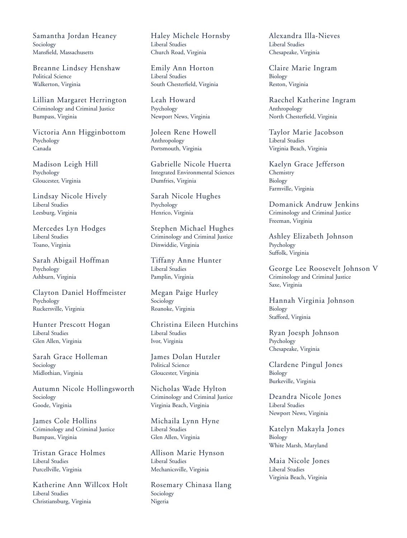Samantha Jordan Heaney Sociology Mansfield, Massachusetts

Breanne Lindsey Henshaw Political Science Walkerton, Virginia

Lillian Margaret Herrington Criminology and Criminal Justice Bumpass, Virginia

Victoria Ann Higginbottom Psychology Canada

Madison Leigh Hill Psychology Gloucester, Virginia

Lindsay Nicole Hively Liberal Studies Leesburg, Virginia

Mercedes Lyn Hodges Liberal Studies Toano, Virginia

Sarah Abigail Hoffman Psychology Ashburn, Virginia

Clayton Daniel Hoffmeister Psychology Ruckersville, Virginia

Hunter Prescott Hogan Liberal Studies Glen Allen, Virginia

Sarah Grace Holleman Sociology Midlothian, Virginia

Autumn Nicole Hollingsworth Sociology Goode, Virginia

James Cole Hollins Criminology and Criminal Justice Bumpass, Virginia

Tristan Grace Holmes Liberal Studies Purcellville, Virginia

Katherine Ann Willcox Holt Liberal Studies Christiansburg, Virginia

Haley Michele Hornsby Liberal Studies Church Road, Virginia

Emily Ann Horton Liberal Studies South Chesterfield, Virginia

Leah Howard Psychology Newport News, Virginia

Joleen Rene Howell Anthropology Portsmouth, Virginia

Gabrielle Nicole Huerta Integrated Environmental Sciences Dumfries, Virginia

Sarah Nicole Hughes Psychology Henrico, Virginia

Stephen Michael Hughes Criminology and Criminal Justice Dinwiddie, Virginia

Tiffany Anne Hunter Liberal Studies Pamplin, Virginia

Megan Paige Hurley Sociology Roanoke, Virginia

Christina Eileen Hutchins Liberal Studies Ivor, Virginia

James Dolan Hutzler Political Science Gloucester, Virginia

Nicholas Wade Hylton Criminology and Criminal Justice Virginia Beach, Virginia

Michaila Lynn Hyne Liberal Studies Glen Allen, Virginia

Allison Marie Hynson Liberal Studies Mechanicsville, Virginia

Rosemary Chinasa Ilang Sociology Nigeria

Alexandra Illa-Nieves Liberal Studies Chesapeake, Virginia

Claire Marie Ingram Biology Reston, Virginia

Raechel Katherine Ingram Anthropology North Chesterfield, Virginia

Taylor Marie Jacobson Liberal Studies Virginia Beach, Virginia

Kaelyn Grace Jefferson **Chemistry** Biology Farmville, Virginia

Domanick Andruw Jenkins Criminology and Criminal Justice Freeman, Virginia

Ashley Elizabeth Johnson Psychology Suffolk, Virginia

George Lee Roosevelt Johnson V Criminology and Criminal Justice Saxe, Virginia

Hannah Virginia Johnson Biology Stafford, Virginia

Ryan Joesph Johnson Psychology Chesapeake, Virginia

Clardene Pingul Jones Biology Burkeville, Virginia

Deandra Nicole Jones Liberal Studies Newport News, Virginia

Katelyn Makayla Jones Biology White Marsh, Maryland

Maia Nicole Jones Liberal Studies Virginia Beach, Virginia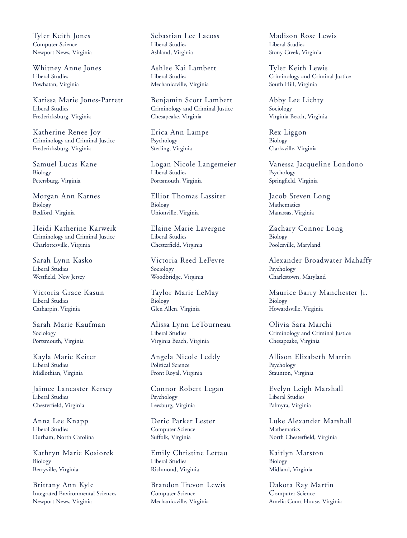Tyler Keith Jones Computer Science Newport News, Virginia

Whitney Anne Jones Liberal Studies Powhatan, Virginia

Karissa Marie Jones-Parrett Liberal Studies Fredericksburg, Virginia

Katherine Renee Joy Criminology and Criminal Justice Fredericksburg, Virginia

Samuel Lucas Kane Biology Petersburg, Virginia

Morgan Ann Karnes Biology Bedford, Virginia

Heidi Katherine Karweik Criminology and Criminal Justice Charlottesville, Virginia

Sarah Lynn Kasko Liberal Studies Westfield, New Jersey

Victoria Grace Kasun Liberal Studies Catharpin, Virginia

Sarah Marie Kaufman Sociology Portsmouth, Virginia

Kayla Marie Keiter Liberal Studies Midlothian, Virginia

Jaimee Lancaster Kersey Liberal Studies Chesterfield, Virginia

Anna Lee Knapp Liberal Studies Durham, North Carolina

Kathryn Marie Kosiorek Biology Berryville, Virginia

Brittany Ann Kyle Integrated Environmental Sciences Newport News, Virginia

Sebastian Lee Lacoss Liberal Studies Ashland, Virginia

Ashlee Kai Lambert Liberal Studies Mechanicsville, Virginia

Benjamin Scott Lambert Criminology and Criminal Justice Chesapeake, Virginia

Erica Ann Lampe Psychology Sterling, Virginia

Logan Nicole Langemeier Liberal Studies Portsmouth, Virginia

Elliot Thomas Lassiter Biology Unionville, Virginia

Elaine Marie Lavergne Liberal Studies Chesterfield, Virginia

Victoria Reed LeFevre Sociology Woodbridge, Virginia

Taylor Marie LeMay Biology Glen Allen, Virginia

Alissa Lynn LeTourneau Liberal Studies Virginia Beach, Virginia

Angela Nicole Leddy Political Science Front Royal, Virginia

Connor Robert Legan Psychology Leesburg, Virginia

Deric Parker Lester Computer Science Suffolk, Virginia

Emily Christine Lettau Liberal Studies Richmond, Virginia

Brandon Trevon Lewis Computer Science Mechanicsville, Virginia

Madison Rose Lewis Liberal Studies Stony Creek, Virginia

Tyler Keith Lewis Criminology and Criminal Justice South Hill, Virginia

Abby Lee Lichty Sociology Virginia Beach, Virginia

Rex Liggon Biology Clarksville, Virginia

Vanessa Jacqueline Londono Psychology Springfield, Virginia

Jacob Steven Long Mathematics Manassas, Virginia

Zachary Connor Long Biology Poolesville, Maryland

Alexander Broadwater Mahaffy Psychology Charlestown, Maryland

Maurice Barry Manchester Jr. Biology Howardsville, Virginia

Olivia Sara Marchi Criminology and Criminal Justice Chesapeake, Virginia

Allison Elizabeth Marrin Psychology Staunton, Virginia

Evelyn Leigh Marshall Liberal Studies Palmyra, Virginia

Luke Alexander Marshall **Mathematics** North Chesterfield, Virginia

Kaitlyn Marston Biology Midland, Virginia

Dakota Ray Martin Computer Science Amelia Court House, Virginia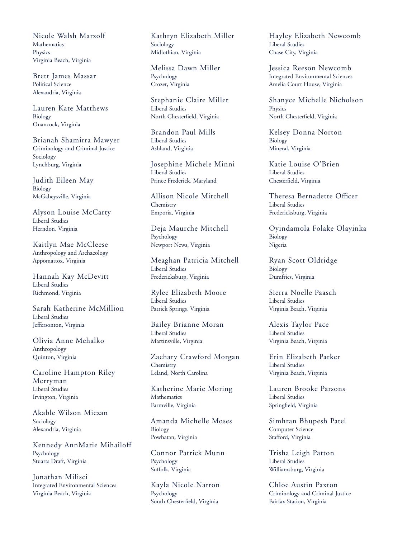Nicole Walsh Marzolf Mathematics Physics Virginia Beach, Virginia

Brett James Massar Political Science Alexandria, Virginia

Lauren Kate Matthews Biology Onancock, Virginia

Brianah Shamirra Mawyer Criminology and Criminal Justice Sociology Lynchburg, Virginia

Judith Eileen May Biology McGaheysville, Virginia

Alyson Louise McCarty Liberal Studies Herndon, Virginia

Kaitlyn Mae McCleese Anthropology and Archaeology Appomattox, Virginia

Hannah Kay McDevitt Liberal Studies Richmond, Virginia

Sarah Katherine McMillion Liberal Studies Jeffersonton, Virginia

Olivia Anne Mehalko Anthropology Quinton, Virginia

Caroline Hampton Riley Merryman Liberal Studies Irvington, Virginia

Akable Wilson Miezan Sociology Alexandria, Virginia

Kennedy AnnMarie Mihailoff Psychology Stuarts Draft, Virginia

Jonathan Milisci Integrated Environmental Sciences Virginia Beach, Virginia

Kathryn Elizabeth Miller Sociology Midlothian, Virginia

Melissa Dawn Miller Psychology Crozet, Virginia

Stephanie Claire Miller Liberal Studies North Chesterfield, Virginia

Brandon Paul Mills Liberal Studies Ashland, Virginia

Josephine Michele Minni Liberal Studies Prince Frederick, Maryland

Allison Nicole Mitchell Chemistry Emporia, Virginia

Deja Maurche Mitchell Psychology Newport News, Virginia

Meaghan Patricia Mitchell Liberal Studies Fredericksburg, Virginia

Rylee Elizabeth Moore Liberal Studies Patrick Springs, Virginia

Bailey Brianne Moran Liberal Studies Martinsville, Virginia

Zachary Crawford Morgan **Chemistry** Leland, North Carolina

Katherine Marie Moring Mathematics Farmville, Virginia

Amanda Michelle Moses Biology Powhatan, Virginia

Connor Patrick Munn Psychology Suffolk, Virginia

Kayla Nicole Narron Psychology South Chesterfield, Virginia

Hayley Elizabeth Newcomb Liberal Studies Chase City, Virginia

Jessica Reeson Newcomb Integrated Environmental Sciences Amelia Court House, Virginia

Shanyce Michelle Nicholson Physics North Chesterfield, Virginia

Kelsey Donna Norton Biology Mineral, Virginia

Katie Louise O'Brien Liberal Studies Chesterfield, Virginia

Theresa Bernadette Officer Liberal Studies Fredericksburg, Virginia

Oyindamola Folake Olayinka Biology Nigeria

Ryan Scott Oldridge Biology Dumfries, Virginia

Sierra Noelle Paasch Liberal Studies Virginia Beach, Virginia

Alexis Taylor Pace Liberal Studies Virginia Beach, Virginia

Erin Elizabeth Parker Liberal Studies Virginia Beach, Virginia

Lauren Brooke Parsons Liberal Studies Springfield, Virginia

Simhran Bhupesh Patel Computer Science Stafford, Virginia

Trisha Leigh Patton Liberal Studies Williamsburg, Virginia

Chloe Austin Paxton Criminology and Criminal Justice Fairfax Station, Virginia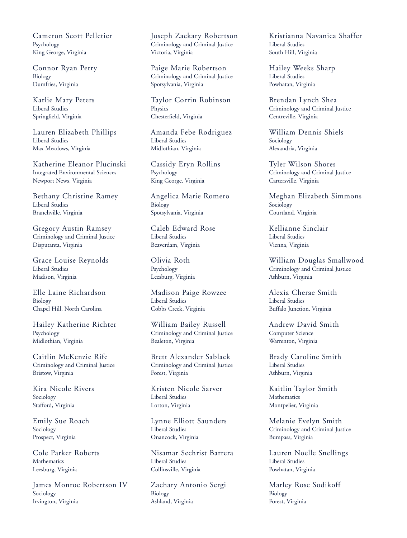Cameron Scott Pelletier Psychology King George, Virginia

Connor Ryan Perry Biology Dumfries, Virginia

Karlie Mary Peters Liberal Studies Springfield, Virginia

Lauren Elizabeth Phillips Liberal Studies Max Meadows, Virginia

Katherine Eleanor Plucinski Integrated Environmental Sciences Newport News, Virginia

Bethany Christine Ramey Liberal Studies Branchville, Virginia

Gregory Austin Ramsey Criminology and Criminal Justice Disputanta, Virginia

Grace Louise Reynolds Liberal Studies Madison, Virginia

Elle Laine Richardson Biology Chapel Hill, North Carolina

Hailey Katherine Richter Psychology Midlothian, Virginia

Caitlin McKenzie Rife Criminology and Criminal Justice Bristow, Virginia

Kira Nicole Rivers Sociology Stafford, Virginia

Emily Sue Roach Sociology Prospect, Virginia

Cole Parker Roberts **Mathematics** Leesburg, Virginia

James Monroe Robertson IV Sociology Irvington, Virginia

Joseph Zackary Robertson Criminology and Criminal Justice Victoria, Virginia

Paige Marie Robertson Criminology and Criminal Justice Spotsylvania, Virginia

Taylor Corrin Robinson Physics Chesterfield, Virginia

Amanda Febe Rodriguez Liberal Studies Midlothian, Virginia

Cassidy Eryn Rollins Psychology King George, Virginia

Angelica Marie Romero Biology Spotsylvania, Virginia

Caleb Edward Rose Liberal Studies Beaverdam, Virginia

Olivia Roth Psychology Leesburg, Virginia

Madison Paige Rowzee Liberal Studies Cobbs Creek, Virginia

William Bailey Russell Criminology and Criminal Justice Bealeton, Virginia

Brett Alexander Sablack Criminology and Criminal Justice Forest, Virginia

Kristen Nicole Sarver Liberal Studies Lorton, Virginia

Lynne Elliott Saunders Liberal Studies Onancock, Virginia

Nisamar Sechrist Barrera Liberal Studies Collinsville, Virginia

Zachary Antonio Sergi Biology Ashland, Virginia

Kristianna Navanica Shaffer Liberal Studies South Hill, Virginia

Hailey Weeks Sharp Liberal Studies Powhatan, Virginia

Brendan Lynch Shea Criminology and Criminal Justice Centreville, Virginia

William Dennis Shiels Sociology Alexandria, Virginia

Tyler Wilson Shores Criminology and Criminal Justice Cartersville, Virginia

Meghan Elizabeth Simmons Sociology Courtland, Virginia

Kellianne Sinclair Liberal Studies Vienna, Virginia

William Douglas Smallwood Criminology and Criminal Justice Ashburn, Virginia

Alexia Cherae Smith Liberal Studies Buffalo Junction, Virginia

Andrew David Smith Computer Science Warrenton, Virginia

Brady Caroline Smith Liberal Studies Ashburn, Virginia

Kaitlin Taylor Smith **Mathematics** Montpelier, Virginia

Melanie Evelyn Smith Criminology and Criminal Justice Bumpass, Virginia

Lauren Noelle Snellings Liberal Studies Powhatan, Virginia

Marley Rose Sodikoff Biology Forest, Virginia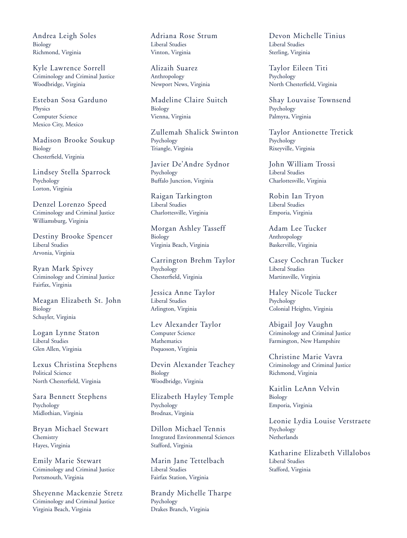Andrea Leigh Soles Biology Richmond, Virginia

Kyle Lawrence Sorrell Criminology and Criminal Justice Woodbridge, Virginia

Esteban Sosa Garduno **Physics** Computer Science Mexico City, Mexico

Madison Brooke Soukup Biology Chesterfield, Virginia

Lindsey Stella Sparrock Psychology Lorton, Virginia

Denzel Lorenzo Speed Criminology and Criminal Justice Williamsburg, Virginia

Destiny Brooke Spencer Liberal Studies Arvonia, Virginia

Ryan Mark Spivey Criminology and Criminal Justice Fairfax, Virginia

Meagan Elizabeth St. John Biology Schuyler, Virginia

Logan Lynne Staton Liberal Studies Glen Allen, Virginia

Lexus Christina Stephens Political Science North Chesterfield, Virginia

Sara Bennett Stephens Psychology Midlothian, Virginia

Bryan Michael Stewart **Chemistry** Hayes, Virginia

Emily Marie Stewart Criminology and Criminal Justice Portsmouth, Virginia

Sheyenne Mackenzie Stretz Criminology and Criminal Justice Virginia Beach, Virginia

Adriana Rose Strum Liberal Studies Vinton, Virginia

Alizaih Suarez Anthropology Newport News, Virginia

Madeline Claire Suitch Biology Vienna, Virginia

Zullemah Shalick Swinton Psychology Triangle, Virginia

Javier De'Andre Sydnor Psychology Buffalo Junction, Virginia

Raigan Tarkington Liberal Studies Charlottesville, Virginia

Morgan Ashley Tasseff Biology Virginia Beach, Virginia

Carrington Brehm Taylor Psychology Chesterfield, Virginia

Jessica Anne Taylor Liberal Studies Arlington, Virginia

Lev Alexander Taylor Computer Science Mathematics Poquoson, Virginia

Devin Alexander Teachey Biology Woodbridge, Virginia

Elizabeth Hayley Temple Psychology Brodnax, Virginia

Dillon Michael Tennis Integrated Environmental Sciences Stafford, Virginia

Marin Jane Tettelbach Liberal Studies Fairfax Station, Virginia

Brandy Michelle Tharpe Psychology Drakes Branch, Virginia

Devon Michelle Tinius Liberal Studies Sterling, Virginia

Taylor Eileen Titi Psychology North Chesterfield, Virginia

Shay Louvaise Townsend Psychology Palmyra, Virginia

Taylor Antionette Tretick Psychology Rixeyville, Virginia

John William Trossi Liberal Studies Charlottesville, Virginia

Robin Ian Tryon Liberal Studies Emporia, Virginia

Adam Lee Tucker Anthropology Baskerville, Virginia

Casey Cochran Tucker Liberal Studies Martinsville, Virginia

Haley Nicole Tucker Psychology Colonial Heights, Virginia

Abigail Joy Vaughn Criminology and Criminal Justice Farmington, New Hampshire

Christine Marie Vavra Criminology and Criminal Justice Richmond, Virginia

Kaitlin LeAnn Velvin Biology Emporia, Virginia

Leonie Lydia Louise Verstraete Psychology **Netherlands** 

Katharine Elizabeth Villalobos Liberal Studies Stafford, Virginia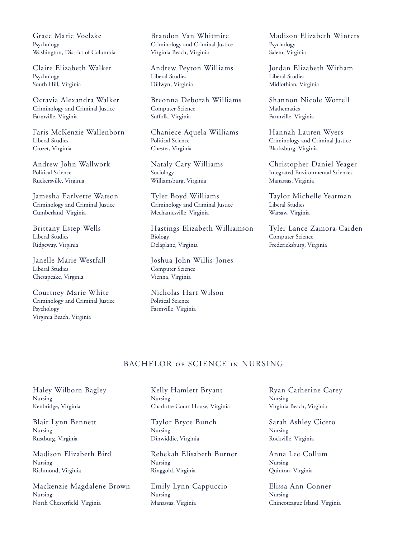Grace Marie Voelzke Psychology Washington, District of Columbia

Claire Elizabeth Walker Psychology South Hill, Virginia

Octavia Alexandra Walker Criminology and Criminal Justice Farmville, Virginia

Faris McKenzie Wallenborn Liberal Studies Crozet, Virginia

Andrew John Wallwork Political Science Ruckersville, Virginia

Jamesha Earlvette Watson Criminology and Criminal Justice Cumberland, Virginia

Brittany Estep Wells Liberal Studies Ridgeway, Virginia

Janelle Marie Westfall Liberal Studies Chesapeake, Virginia

Courtney Marie White Criminology and Criminal Justice Psychology Virginia Beach, Virginia

Brandon Van Whitmire Criminology and Criminal Justice Virginia Beach, Virginia

Andrew Peyton Williams Liberal Studies Dillwyn, Virginia

Breonna Deborah Williams Computer Science Suffolk, Virginia

Chaniece Aquela Williams Political Science Chester, Virginia

Nataly Cary Williams Sociology Williamsburg, Virginia

Tyler Boyd Williams Criminology and Criminal Justice Mechanicsville, Virginia

Hastings Elizabeth Williamson Biology Delaplane, Virginia

Joshua John Willis-Jones Computer Science Vienna, Virginia

Nicholas Hart Wilson Political Science Farmville, Virginia

Madison Elizabeth Winters Psychology Salem, Virginia

Jordan Elizabeth Witham Liberal Studies Midlothian, Virginia

Shannon Nicole Worrell **Mathematics** Farmville, Virginia

Hannah Lauren Wyers Criminology and Criminal Justice Blacksburg, Virginia

Christopher Daniel Yeager Integrated Environmental Sciences Manassas, Virginia

Taylor Michelle Yeatman Liberal Studies Warsaw, Virginia

Tyler Lance Zamora-Carden Computer Science Fredericksburg, Virginia

## BACHELOR of SCIENCE in NURSING

Haley Wilborn Bagley Nursing Kenbridge, Virginia

Blair Lynn Bennett Nursing Rustburg, Virginia

Madison Elizabeth Bird Nursing Richmond, Virginia

Mackenzie Magdalene Brown Nursing North Chesterfield, Virginia

Kelly Hamlett Bryant Nursing Charlotte Court House, Virginia

Taylor Bryce Bunch Nursing Dinwiddie, Virginia

Rebekah Elisabeth Burner Nursing Ringgold, Virginia

Emily Lynn Cappuccio Nursing Manassas, Virginia

Ryan Catherine Carey Nursing Virginia Beach, Virginia

Sarah Ashley Cicero Nursing Rockville, Virginia

Anna Lee Collum Nursing Quinton, Virginia

Elissa Ann Conner Nursing Chincoteague Island, Virginia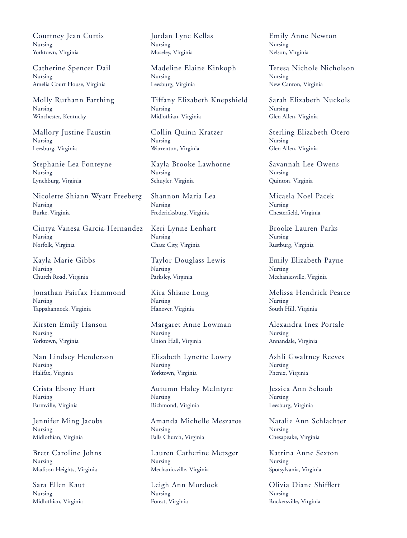Courtney Jean Curtis Nursing Yorktown, Virginia

Catherine Spencer Dail Nursing Amelia Court House, Virginia

Molly Ruthann Farthing Nursing Winchester, Kentucky

Mallory Justine Faustin Nursing Leesburg, Virginia

Stephanie Lea Fonteyne Nursing Lynchburg, Virginia

Nicolette Shiann Wyatt Freeberg Nursing Burke, Virginia

Cintya Vanesa Garcia-Hernandez Nursing Norfolk, Virginia

Kayla Marie Gibbs Nursing Church Road, Virginia

Jonathan Fairfax Hammond Nursing Tappahannock, Virginia

Kirsten Emily Hanson Nursing Yorktown, Virginia

Nan Lindsey Henderson Nursing Halifax, Virginia

Crista Ebony Hurt Nursing Farmville, Virginia

Jennifer Ming Jacobs Nursing Midlothian, Virginia

Brett Caroline Johns Nursing Madison Heights, Virginia

Sara Ellen Kaut Nursing Midlothian, Virginia

Jordan Lyne Kellas Nursing Moseley, Virginia

Madeline Elaine Kinkoph Nursing Leesburg, Virginia

Tiffany Elizabeth Knepshield Nursing Midlothian, Virginia

Collin Quinn Kratzer Nursing Warrenton, Virginia

Kayla Brooke Lawhorne Nursing Schuyler, Virginia

Shannon Maria Lea Nursing Fredericksburg, Virginia

Keri Lynne Lenhart Nursing Chase City, Virginia

Taylor Douglass Lewis Nursing Parksley, Virginia

Kira Shiane Long Nursing Hanover, Virginia

Margaret Anne Lowman Nursing Union Hall, Virginia

Elisabeth Lynette Lowry Nursing Yorktown, Virginia

Autumn Haley McIntyre Nursing Richmond, Virginia

Amanda Michelle Meszaros Nursing Falls Church, Virginia

Lauren Catherine Metzger Nursing Mechanicsville, Virginia

Leigh Ann Murdock Nursing Forest, Virginia

Emily Anne Newton Nursing Nelson, Virginia

Teresa Nichole Nicholson Nursing New Canton, Virginia

Sarah Elizabeth Nuckols Nursing Glen Allen, Virginia

Sterling Elizabeth Otero Nursing Glen Allen, Virginia

Savannah Lee Owens Nursing Quinton, Virginia

Micaela Noel Pacek Nursing Chesterfield, Virginia

Brooke Lauren Parks Nursing Rustburg, Virginia

Emily Elizabeth Payne Nursing Mechanicsville, Virginia

Melissa Hendrick Pearce Nursing South Hill, Virginia

Alexandra Inez Portale Nursing Annandale, Virginia

Ashli Gwaltney Reeves Nursing Phenix, Virginia

Jessica Ann Schaub Nursing Leesburg, Virginia

Natalie Ann Schlachter Nursing Chesapeake, Virginia

Katrina Anne Sexton Nursing Spotsylvania, Virginia

Olivia Diane Shifflett Nursing Ruckersville, Virginia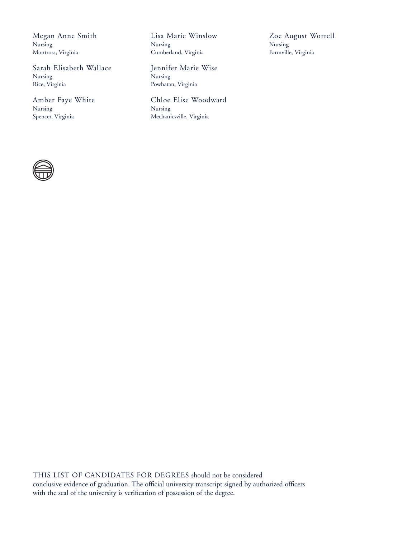Megan Anne Smith Nursing Montross, Virginia

Sarah Elisabeth Wallace Nursing Rice, Virginia

Amber Faye White Nursing Spencer, Virginia

Lisa Marie Winslow Nursing Cumberland, Virginia

Jennifer Marie Wise Nursing Powhatan, Virginia

Chloe Elise Woodward Nursing Mechanicsville, Virginia

Zoe August Worrell Nursing Farmville, Virginia

THIS LIST OF CANDIDATES FOR DEGREES should not be considered conclusive evidence of graduation. The official university transcript signed by authorized officers with the seal of the university is verification of possession of the degree.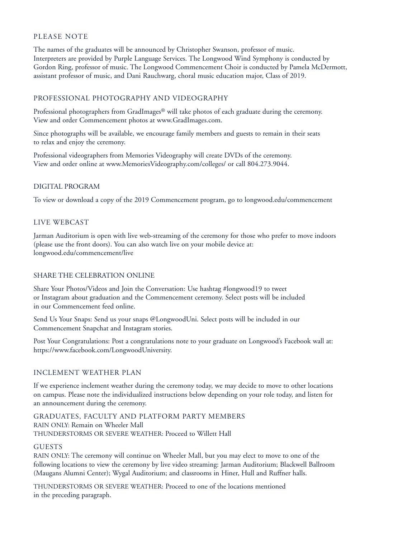## PLEASE NOTE

The names of the graduates will be announced by Christopher Swanson, professor of music. Interpreters are provided by Purple Language Services. The Longwood Wind Symphony is conducted by Gordon Ring, professor of music. The Longwood Commencement Choir is conducted by Pamela McDermott, assistant professor of music, and Dani Rauchwarg, choral music education major, Class of 2019.

## PROFESSIONAL PHOTOGRAPHY AND VIDEOGRAPHY

Professional photographers from GradImages® will take photos of each graduate during the ceremony. View and order Commencement photos at www.GradImages.com.

Since photographs will be available, we encourage family members and guests to remain in their seats to relax and enjoy the ceremony.

Professional videographers from Memories Videography will create DVDs of the ceremony. View and order online at www.MemoriesVideography.com/colleges/ or call 804.273.9044.

## DIGITAL PROGRAM

To view or download a copy of the 2019 Commencement program, go to longwood.edu/commencement

## LIVE WEBCAST

Jarman Auditorium is open with live web-streaming of the ceremony for those who prefer to move indoors (please use the front doors). You can also watch live on your mobile device at: longwood.edu/commencement/live

## SHARE THE CELEBRATION ONLINE

Share Your Photos/Videos and Join the Conversation: Use hashtag #longwood19 to tweet or Instagram about graduation and the Commencement ceremony. Select posts will be included in our Commencement feed online.

Send Us Your Snaps: Send us your snaps @LongwoodUni. Select posts will be included in our Commencement Snapchat and Instagram stories.

Post Your Congratulations: Post a congratulations note to your graduate on Longwood's Facebook wall at: https://www.facebook.com/LongwoodUniversity.

## INCLEMENT WEATHER PLAN

If we experience inclement weather during the ceremony today, we may decide to move to other locations on campus. Please note the individualized instructions below depending on your role today, and listen for an announcement during the ceremony.

GRADUATES, FACULTY AND PLATFORM PARTY MEMBERS RAIN ONLY: Remain on Wheeler Mall THUNDERSTORMS OR SEVERE WEATHER: Proceed to Willett Hall

#### GUESTS

RAIN ONLY: The ceremony will continue on Wheeler Mall, but you may elect to move to one of the following locations to view the ceremony by live video streaming: Jarman Auditorium; Blackwell Ballroom (Maugans Alumni Center); Wygal Auditorium; and classrooms in Hiner, Hull and Ruffner halls.

THUNDERSTORMS OR SEVERE WEATHER: Proceed to one of the locations mentioned in the preceding paragraph.